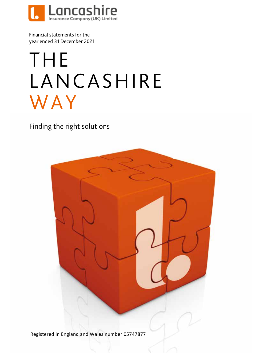

Financial statements for the year ended 31 December 2021

# THE LANCASHIRE WAY

Finding the right solutions



Registered in England and Wales number 05747877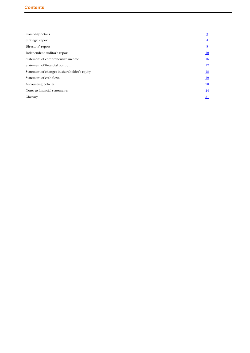| Company details                              | $\overline{3}$   |
|----------------------------------------------|------------------|
| Strategic report                             | $\overline{4}$   |
| Directors' report                            | $\underline{8}$  |
| Independent auditor's report                 | $\underline{10}$ |
| Statement of comprehensive income            | $\underline{16}$ |
| Statement of financial position              | 17               |
| Statement of changes in shareholder's equity | $\underline{18}$ |
| Statement of cash flows                      | 19               |
| Accounting policies                          | $\underline{20}$ |
| Notes to financial statements                | $\overline{24}$  |
| Glossary                                     | $\underline{51}$ |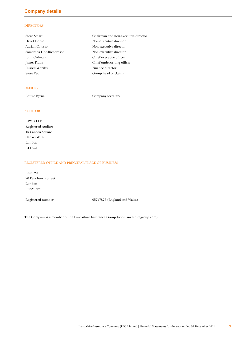# <span id="page-2-0"></span>**Company details**

# **DIRECTORS**

| <b>Steve Smart</b>      | Chairman and non-executive director |
|-------------------------|-------------------------------------|
| David Horne             | Non-executive director              |
| Adrian Colosso          | Non-executive director              |
| Samantha Hoe-Richardson | Non-executive director              |
| John Cadman             | Chief executive officer             |
| James Flude             | Chief underwriting officer          |
| <b>Russell Worsley</b>  | Finance director                    |
| <b>Steve Yeo</b>        | Group head of claims                |

### **OFFICER**

Louise Byrne Company secretary

# AUDITOR

KPMG LLP Registered Auditor 15 Canada Square Canary Wharf London E14 5GL

# REGISTERED OFFICE AND PRINCIPAL PLACE OF BUSINESS

Level 29 20 Fenchurch Street London EC3M 3BY

Registered number 05747877 (England and Wales)

The Company is a member of the Lancashire Insurance Group (www.lancashiregroup.com).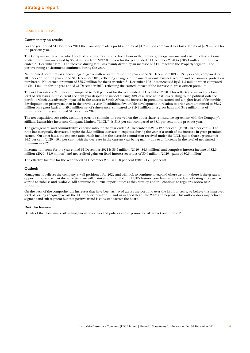### <span id="page-3-0"></span>BUSINESS REVIEW

### **Commentary on results**

For the year ended 31 December 2021 the Company made a profit after tax of \$1.7 million compared to a loss after tax of \$2.9 million for the previous year.

The Company writes a diversified book of business, mostly on a direct basis in the property, energy, marine and aviation classes. Gross written premiums increased by \$60.4 million from \$243.0 million for the year ended 31 December 2020 to \$303.4 million for the year ended 31 December 2021. The increase during 2021 was mainly driven by an increase of \$44.9m within the Property segment. The positive rating environment continued during the year.

Net retained premiums as a percentage of gross written premiums for the year ended 31 December 2021 is 13.0 per cent, compared to 10.9 per cent for the year ended 31 December 2020, reflecting changes in the mix of inwards business written and reinsurance protection purchased. Net earned premium of \$35.7 million for the year ended 31 December 2021 has increased by \$11.3 million when compared to \$24.4 million for the year ended 31 December 2020, reflecting the earned impact of the increase in gross written premium.

The net loss ratio is 59.1 per cent compared to 77.0 per cent for the year ended 31 December 2020. This reflects the impact of a lower level of risk losses in the current accident year despite the impact during 2021 of a large net risk loss relating to the political violence portfolio which was adversely impacted by the unrest in South Africa, the increase in premiums earned and a higher level of favourable development on prior years than in the previous year. In addition, favourable development in relation to prior years amounted to \$63.7 million on a gross basis and \$9.6 million net of reinsurance, compared to \$19.4 million on a gross basis and \$4.2 million net of reinsurance in the year ended 31 December 2020.

The net acquisition cost ratio, excluding override commission received on the quota share reinsurance agreement with the Company's affiliate, Lancashire Insurance Company Limited ("LICL"), is 31.8 per cent compared to 38.1 per cent in the previous year.

The gross general and administrative expense ratio for the year ended 31 December 2021 is 12.4 per cent (2020 - 13.4 per cent). The ratio has marginally decreased despite the \$3.5 million increase in expenses during the year as a result of the increase in gross premium earned. On a net basis, the expense ratio which includes the override commission received under the LICL quota share agreement is 14.7 per cent (2020 - 16.0 per cent) with the decrease in the current year being mainly due to an increase in the level of net earned premium in 2021.

Investment income for the year ended 31 December 2021 is \$3.5 million (2020 - \$4.3 million) and comprises interest income of \$2.9 million (2020 - \$4.0 million) and net realised gains on fixed interest securities of \$0.6 million (2020 - gains of \$0.3 million).

The effective tax rate for the year ended 31 December 2021 is 19.0 per cent (2020 - 17.1 per cent).

### **Outlook**

Management believes the company is well positioned for 2022 and will look to continue to expand where we think there is the greatest opportunity to do so. At the same time, we will maintain our portfolio in LUK's historic core lines where the level of rating increase has started to stabilise and as always, will continue to pursue opportunities as they develop and will continue to regularly review new propositions.

On the back of the composite rate increases that have been achieved across the portfolio over the last four years, we believe this improved level of pricing adequacy across the LUK underwriting will stand us in good stead into 2022 and beyond. This outlook does vary between segment and sub-segment but that positive trend is consistent across the board.

### **Risk disclosures**

Details of the Company's risk management objectives and policies and exposure to risk are set out in note 2.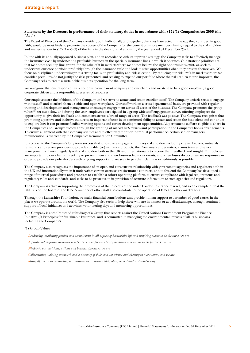### **Statement by the Directors in performance of their statutory duties in accordance with S172(1) Companies Act 2006 (the "Act")**

The Board of Directors of the Company consider, both individually and together, that they have acted in the way they consider, in good faith, would be most likely to promote the success of the Company for the benefit of its sole member (having regard to the stakeholders and matters set out in  $s172(1)(a)$ -(f) of the Act) in the decisions taken during the year ended 31 December 2021.

In line with its annually-approved business plan, and in accordance with its approved strategy, the Company seeks to effectively manage the insurance cycle by underwriting profitable business in the specialty insurance lines in which it operates. Our strategic priorities are that we do not seek top line growth for the sake of it in markets where we do not believe the right opportunities exist, we seek to underwrite our core portfolio profitably through the insurance cycle and look to seize opportunities when they present themselves. We focus on disciplined underwriting with a strong focus on profitability and risk selection. By reducing our risk levels in markets where we consider premiums do not justify the risks presented, and seeking to expand our portfolio where the risk/return metric improves, the Company seeks to create a sustainable business operation for the long term.

We recognise that our responsibility is not only to our parent company and our clients and we strive to be a good employer, a good corporate citizen and a responsible preserver of resources.

Our employees are the lifeblood of the Company and we strive to attract and retain excellent staff. The Company actively seeks to engage with its staff, and to afford them a stable and open workplace. Our staff work on a cross-departmental basis, are provided with regular training and development and management encourages engagement across all areas of the business. The Company promotes the group values<sup>(1)</sup> set out below, and during the year, employees participated in a group-wide staff engagement survey offering employees the opportunity to give their feedback and comments across a broad range of areas. The feedback was positive. The Company recognises that promoting a positive and inclusive culture is an important factor in its continued ability to attract and retain the best talent and continues to explore how it can promote flexible working options and career development opportunities. All permanent staff are eligible to share in the Company's and Group's success through the granting of nil cost RSS awards and participation in the Company's bonus arrangements. To ensure alignment with the Company's values and to effectively monitor individual performance, certain senior managers' remuneration is overseen by the Company's Remuneration Committee.

It is crucial to the Company's long term success that it positively engages with its key stakeholders including clients, brokers, outwards reinsurers and service providers to provide suitable (re)insurance products; the Company's underwriters, claims team and senior management will meet regularly with stakeholders both in the UK and internationally to receive their feedback and insight. Our policies are important to our clients in seeking to protect them and their business from risk events, and when losses do occur we are responsive in order to provide our policyholders with ongoing support and we seek to pay their claims as expeditiously as possible.

The Company also recognises the importance of an open and constructive relationship with government agencies and regulators both in the UK and internationally when it underwrites certain overseas (re)insurance contracts, and to this end the Company has developed a range of internal procedures and processes to establish a robust operating platform to ensure compliance with legal requirements and regulatory rules and standards; and seeks to be proactive in its provision of accurate information to such agencies and regulators.

The Company is active in supporting the promotion of the interests of the wider London insurance market, and as an example of that the CEO sits on the board of the IUA. A number of other staff also contribute to the operation of IUA and other market fora.

Through the Lancashire Foundation, we make financial contributions and provide human support to a number of good causes in the places we operate around the world. The Company also seeks to help those who are in distress or at a disadvantage, through continued support of local initiatives and activities, volunteering days and mentoring opportunities.

The Company is a wholly owned subsidiary of a Group that reports against the United Nations Environment Programme Finance Initiative (I) Principles for Sustainable Insurance, and is committed to managing the environmental impacts of all its businesses, including the Company's.

### (1) Group Values

*Leadership, exhibiting passion and commitment in all aspects of Lancashire life and inspiring others to do the same, we are*

*Aspirational, aspiring to deliver a superior service for our clients, ourselves and our business partners, we are*

*Nimble in our decisions, actions and business processes, we are*

*Collaborative, valuing teamwork and a diversity of skills and experience and sharing in our success, and we are*

*Straightforward in conducting our business in an accountable, open, honest and sustainable way.*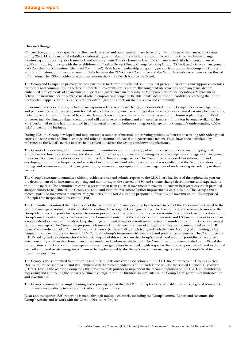### **Climate Change**

Climate change, and more specifically climate-related risks and opportunities, have been a significant focus of the Lancashire Group during 2021. LUK is a material subsidiary undertaking and is taken into consideration and involved in the Group's climate change monitoring and reporting, risk framework and enhancements.The risk framework around climate-related risks has been enhanced significantly during the year with the establishment of both a Group Climate Change Working Group (CCWG) and a Group management ESG Coordination Committee (the 'ESG Committee'). Both have membership comprising people from across the Group and from a variety of functions, and there are common links between the CCWG, ESG Committee and the Group Executive to ensure a clear flow of information. The CRO provides quarterly updates on the work of each body to the Board.

The Group and Company's primary business purpose is to deliver bespoke risk solutions that protect their clients and support economies, businesses and communities in the face of uncertain loss events. By its nature, this long-held objective has, for many years, deeply embedded core elements of environmental, social and governance matters into the Company's insurance operations. Management believe the insurance sector plays a crucial role in empowering people to be able to take decisions with confidence knowing that if the unexpected happens their insurance partners will mitigate the effects on their business and community.

Environmental risk exposures, including assumptions related to climate change, are embedded into the Company's risk management, and performance is monitored against formal risk tolerances, in particular with regard to the exposures to natural catastrophe loss events, including weather events impacted by climate change. Stress and scenario tests performed as part of the business planning and ORSA processes include climate related scenarios and will continue to be refined and enhanced as more information becomes available. The work performed to date has not resulted in any material impact on business strategy or change to the Company's understanding of the risks' impact to the business.

During 2021 the Group developed and implemented a number of internal underwriting guidelines focused on assisting with wider global efforts to tackle issues of climate change and other environmental, social and governance factors. These have been articulated by reference to the Lloyd's market and are being rolled out across the Group's underwriting platforms.

The Group's Underwriting Committee continued to monitor exposures to a range of natural catastrophe risks, including regional windstorm and hurricane exposures, and the articulation of an appropriate underwriting and risk management strategy and management preference for these and other risk exposures linked to climate change factors. The Committee considered loss information and developing trends in the frequency and severity of weather-related and other loss events and was satisfied that the Group's underwriting strategy and reinsurance and risk management programmes are appropriate for the management of underwriting risk relating to these factors.

The Group's investment committee which provides services and submits reports to the LUK Board has focused throughout the year on the development of its investment reporting and monitoring in the context of ESG and climate change developments and expectations within the market. The committee received a presentation from external investment managers on current best practices which provided an opportunity to benchmark the Group's position and identify areas where further improvements were possible. The Group's fixed income portfolio investment managers are signatories to the world's leading proponent of responsible investment, the UN-supported 'Principles for Responsible Investment' (PRI).

The Committee monitored the ESG profile of the Group's fixed income portfolio by reference to one of the ESG rating tools used by the portfolio managers, noting that the portfolio sits within the average ESG category rating. The Committee also continued to monitor the Group's fixed income portfolio exposure to various pricing scenarios by reference to a carbon sensitivity rating tool used by certain of the Group's investment managers. In this regard the Committee noted that the available carbon intensity and ESG measurement tools are in a state of development and intends to keep the range of potential analytical tools under review in consultation with the Group's external portfolio managers. The Committee proposed a framework for the measurement of climate sensitivity and recommended to the LHL Board the introduction of a Climate Value at Risk metric (Climate VaR), which is aligned with the Paris Accord goal of limiting global temperature increases to a maximum of 1.5oC, for the Group's investment risk tolerance and preference statements. The Committee and LHL Board agreed a preference for the financial impact of this scenario on the Group's actual fixed maturity portfolio to have a less detrimental impact than the chosen benchmark model and carbon sensitivity tool. The Committee also recommended to the Board the introduction of ESG and carbon management investment guidelines in particular with respect to limitations upon assets linked to thermal coal, oil sands and Arctic energy investments to be implemented by the Group's investment managers across the Group's fixed income investment portfolios.

The Group is also committed to monitoring and offsetting its own carbon emissions and the LHL Board oversees the Group's Carbon Disclosure Project submission and its alignment with the recommendations of the Task Force on Climate-related Financial Disclosures (TCFD). During the year the Group took further steps on its journey to implement the recommendations of the TCFD, in monitoring, measuring and controlling the impacts of climate change within the business, in particular in the Group's core activities of underwriting and investments.

The Group is committed to implementing and reporting against the UNEP FI Principles for Sustainable Insurance, a global framework for the insurance industry to address ESG risks and opportunities.

Clear and transparent ESG reporting is made through multiple channels, including the Group's Annual Report and Accounts, the Group's website and its work with the Carbon Disclosure Project.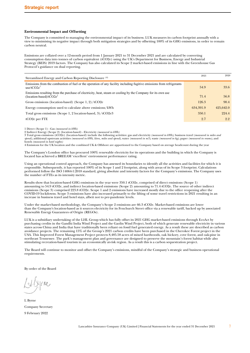### **Environmental Impact and Offsetting**

The Company is committed to managing the environmental impact of its business. LUK measures its carbon footprint annually with a view to minimising its negative impact through both mitigation strategies and by offsetting 100% of its GHG emissions, in order to remain carbon neutral.

Emissions are collated over a 12-month period from 1 January 2021 to 31 December 2021 and are calculated by converting consumption data into tonnes of carbon equivalent (tCO2e) using the UK's Department for Business, Energy and Industrial Strategy (BEIS) 2019 factors. The Company has also calculated its Scope 2 market-based emissions in line with the Greenhouse Gas Protocol's guidance on dual reporting.

| Streamlined Energy and Carbon Reporting Disclosure <sup>(4)</sup>                                                                               | 2021      | 2020      |
|-------------------------------------------------------------------------------------------------------------------------------------------------|-----------|-----------|
| Emissions from the combustion of fuel or the operation of any facility including fugitive emissions from refrigerants<br>use/tCO2e <sup>1</sup> | 54.9      | 33.6      |
| Emissions resulting from the purchase of electricity, heat, steam or cooling by the Company for its own use<br>(location-based)/t $CO2e^2$      | 71.4      | 56.8      |
| Gross emissions (location-based) (Scope 1, 2)/ $tCO2e$                                                                                          | 126.3     | 90.4      |
| Energy consumption used to calculate above emissions/kWh                                                                                        | 634.391.9 | 425,642.0 |
| Total gross emissions (Scope 1, 2 location-based, 3)/tCO2e3                                                                                     | 350.1     | 224.4     |
| $tCO2e$ per FTE                                                                                                                                 | 2.7       | 2.2       |

1 Direct (Scope 1) - Gas *(measured in kWh)*

2 Indirect Energy (Scope 2) (location-based) - Electricity *(measured in kWh)*

3 Total gross emissions (tCO2e) (location-based) include the following activities: gas and electricity *(measured in kWh)*, business travel *(measured in miles and spend)*, additional upstream activities *(measured in kWh, litres, miles and spend)*, water *(measured in m3)*, waste *(measured in kg)*, paper *(measured in reams)*, and hotels *(measured in hotel nights)*

4 Emissions for the UK location and the combined UK & Offshore are apportioned to the Company based on average headcount during the year

The Company's London office has procured 100% renewable electricity for its operations and the building in which the Company is located has achieved a BREEAM 'excellent' environment performance rating.

Using an operational control approach, the Company has assessed its boundaries to identify all the activities and facilities for which it is responsible. Subsequently, it has reported 100% of its Scope 1 and 2 footprint, along with areas of its Scope 3 footprint. Calculations performed follow the ISO 14064-1:2018 standard, giving absolute and intensity factors for the Company's emissions. The Company uses the number of FTEs as its intensity metric.

Results show that location-based GHG emissions in the year were 350.1 tCO2e, comprised of direct emissions (Scope 1) amounting to 54.9 tCO2e, and indirect location-based emissions (Scope 2) amounting to 71.4 tCO2e. The source of other indirect emissions (Scope 3) comprised 223.8 tCO2e. Scope 1 and 2 emissions have increased mostly due to the office reopening after the COVID-19 lockdowns. Scope 3 emissions have also increased primarily to the lifting of some travel restrictions in 2021 resulting in an increase in business travel and hotel stays, albeit not to pre-pandemic levels.

Under the market-based methodology, the Company's Scope 2 emissions are 66.3 tCO2e. Market-based emissions are lower than the Company's location-based as it sources electricity for its Fenchurch Street office via a renewable tariff, backed up by associated Renewable Energy Guarantees of Origin (REGOs).

LUK is a subsidiary undertaking of the LHL Group which has fully offset its 2021 GHG market-based emissions through EcoAct by purchasing credits in the Gandhi India Wind Project and the Gaolin Wind Project, both of which generate renewable electricity in various states across China and India that have traditionally been reliant on fossil fuel generated energy. As a result these are described as carbon avoidance projects. The remaining 15% of the Group's 2021 carbon credits have been purchased in the Cherokee Forest project in the USA. This Improved Forest Management Project protects 8,485.58 acres of mixed hardwoods, oak hickory, cove forest, and oak-pine in northeast Tennessee. The park's management plan and governance are designed to preserve the mountain's forest habitat while also stimulating recreation-based tourism in an economically at-risk region. As a result this is a carbon sequestration project.

The Board will continue to monitor and offset the Company's emissions, mindful of the Company's strategic and business operational requirements.

By order of the Board

L Byrne Company Secretary 9 February 2022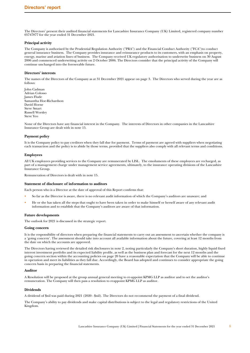<span id="page-7-0"></span>The Directors' present their audited financial statements for Lancashire Insurance Company (UK) Limited, registered company number 05747877 for the year ended 31 December 2021.

### **Principal activity**

The Company is authorised by the Prudential Regulation Authority ("PRA") and the Financial Conduct Authority ("FCA")to conduct general insurance business. The Company provides insurance and reinsurance products to its customers, with an emphasis on property, energy, marine and aviation lines of business. The Company received UK regulatory authorisation to underwrite business on 30 August 2006 and commenced underwriting activity on 2 October 2006. The Directors consider that the principal activity of the Company will continue unchanged into the foreseeable future.

### **Directors' interests**

The names of the Directors of the Company as at 31 December 2021 appear on page 3. The Directors who served during the year are as follows:

John Cadman Adrian Colosso James Flude Samantha Hoe-Richardson David Horne Steve Smart Russell Worsley Steve Yeo

None of the Directors have any financial interest in the Company. The interests of Directors in other companies in the Lancashire Insurance Group are dealt with in note 15.

### **Payment policy**

It is the Company policy to pay creditors when they fall due for payment. Terms of payment are agreed with suppliers when negotiating each transaction and the policy is to abide by those terms, provided that the suppliers also comply with all relevant terms and conditions.

### **Employees**

All UK employees providing services to the Company are remunerated by LISL. The emoluments of these employees are recharged, as part of a management charge under management service agreements, ultimately, to the insurance operating divisions of the Lancashire Insurance Group.

Remuneration of Directors is dealt with in note 15.

### **Statement of disclosure of information to auditors**

Each person who is a Director at the date of approval of this Report confirms that:

- So far as the Director is aware, there is no relevant audit information of which the Company's auditors are unaware; and
- He or she has taken all the steps that ought to have been taken in order to make himself or herself aware of any relevant audit information and to establish that the Company's auditors are aware of that information.

### **Future developments**

The outlook for 2021 is discussed in the strategic report.

### **Going concern**

It is the responsibility of directors when preparing the financial statements to carry out an assessment to ascertain whether the company is a 'going concern'. The assessment should take into account all available information about the future, covering at least 12 months from the date on which the accounts are approved.

The Directors having reviewed the detailed risk disclosures in note 2, noting particularly the Company's short duration, highly liquid fixed interest investment portfolio and its expected liability profile, as well as the business plan and forecast for the next 12 months and the going concern section within the accounting policies on page 20 have a reasonable expectation that the Company will be able to continue in operation and meet its liabilities as they fall due. Accordingly, the Board has adopted and continues to consider appropriate the going concern basis in preparing the financial statements.

#### **Auditor**

A Resolution will be proposed at the group annual general meeting to re-appoint KPMG LLP as auditor and to set the auditor's remuneration. The Company will then pass a resolution to reappoint KPMG LLP as auditor.

### **Dividends**

A dividend of \$nil was paid during 2021 (2020 - \$nil). The Directors do not recommend the payment of a final dividend.

The Company's ability to pay dividends and make capital distributions is subject to the legal and regulatory restrictions of the United Kingdom.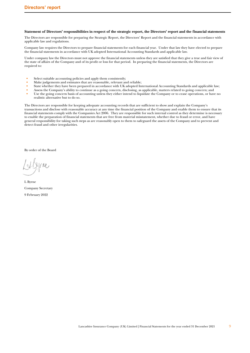### **Statement of Directors' responsibilities in respect of the strategic report, the Directors' report and the financial statements**

The Directors are responsible for preparing the Strategic Report, the Directors' Report and the financial statements in accordance with applicable law and regulations.

Company law requires the Directors to prepare financial statements for each financial year. Under that law they have elected to prepare the financial statements in accordance with UK adopted International Accounting Standards and applicable law.

Under company law the Directors must not approve the financial statements unless they are satisfied that they give a true and fair view of the state of affairs of the Company and of its profit or loss for that period. In preparing the financial statements, the Directors are required to:

- Select suitable accounting policies and apply them consistently;
- Make judgements and estimates that are reasonable, relevant and reliable;<br>• State whether they have been prepared in accordance with UK adopted In
- State whether they have been prepared in accordance with UK adopted International Accounting Standards and applicable law;<br>• Assess the Company's ability to continue as a going concernedisclosing as applicable matters re
- Assess the Company's ability to continue as a going concern, disclosing, as applicable, matters related to going concern; and <br>• Ise the going concern basis of accounting unless they either intend to liquidate the Compan
- Use the going concern basis of accounting unless they either intend to liquidate the Company or to cease operations, or have no realistic alternative but to do so.

The Directors are responsible for keeping adequate accounting records that are sufficient to show and explain the Company's transactions and disclose with reasonable accuracy at any time the financial position of the Company and enable them to ensure that its financial statements comply with the Companies Act 2006. They are responsible for such internal control as they determine is necessary to enable the preparation of financial statements that are free from material misstatement, whether due to fraud or error, and have general responsibility for taking such steps as are reasonably open to them to safeguard the assets of the Company and to prevent and detect fraud and other irregularities.

By order of the Board

 $fM$ 

L Byrne Company Secretary 9 February 2022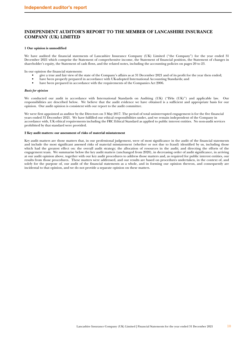# <span id="page-9-0"></span>**INDEPENDENT AUDITOR'S REPORT TO THE MEMBER OF LANCASHIRE INSURANCE COMPANY (UK) LIMITED**

### **1 Our opinion is unmodified**

We have audited the financial statements of Lancashire Insurance Company (UK) Limited ("the Company") for the year ended 31 December 2021 which comprise the Statement of comprehensive income, the Statement of financial position, the Statement of changes in shareholder's equity, the Statement of cash flows, and the related notes, including the accounting policies on pages 20 to 23.

In our opinion the financial statements:

- give a true and fair view of the state of the Company's affairs as at 31 December 2021 and of its profit for the year then ended;
- have been properly prepared in accordance with UK-adopted International Accounting Standards; and<br>• have been prepared in accordance with the requirements of the Companies Act 2006
- have been prepared in accordance with the requirements of the Companies Act 2006.

### *Basis for opinion*

We conducted our audit in accordance with International Standards on Auditing (UK) ("ISAs (UK)") and applicable law. Our responsibilities are described below. We believe that the audit evidence we have obtained is a sufficient and appropriate basis for our opinion. Our audit opinion is consistent with our report to the audit committee.

We were first appointed as auditor by the Directors on 3 May 2017. The period of total uninterrupted engagement is for the five financial years ended 31 December 2021. We have fulfilled our ethical responsibilities under, and we remain independent of the Company in accordance with, UK ethical requirements including the FRC Ethical Standard as applied to public interest entities. No non-audit services prohibited by that standard were provided.

### **2 Key audit matters: our assessment of risks of material misstatement**

Key audit matters are those matters that, in our professional judgement, were of most significance in the audit of the financial statements and include the most significant assessed risks of material misstatement (whether or not due to fraud) identified by us, including those which had the greatest effect on: the overall audit strategy; the allocation of resources in the audit; and directing the efforts of the engagement team. We summarise below the key audit matters (unchanged from 2020), in decreasing order of audit significance, in arriving at our audit opinion above, together with our key audit procedures to address those matters and, as required for public interest entities, our results from those procedures. These matters were addressed, and our results are based on procedures undertaken, in the context of, and solely for the purpose of, our audit of the financial statements as a whole, and in forming our opinion thereon, and consequently are incidental to that opinion, and we do not provide a separate opinion on these matters.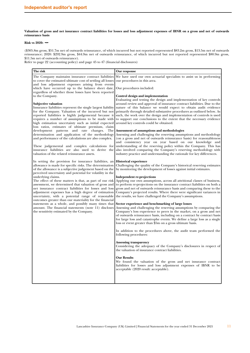**Valuation of gross and net insurance contract liabilities for losses and loss adjustment expenses of IBNR on a gross and net of outwards reinsurance basis**

# **Risk vs 2020:** ◄►

(\$305.8m gross, \$51.7m net of outwards reinsurance, of which incurred but not reported represented \$83.2m gross, \$13.5m net of outwards reinsurance; 2020: \$292.9m gross, \$44.9m net of outwards reinsurance, of which incurred but not reported represented \$80.9m gross, \$11.5m net of outwards reinsurance).

Refer to page 22 (accounting policy) and page 45 to 47 (financial disclosures)

| The risk                                                                                                                                                                                                                                                                                                      | Our response                                                                                                                                                                                                                                                                                                                                                                                                              |
|---------------------------------------------------------------------------------------------------------------------------------------------------------------------------------------------------------------------------------------------------------------------------------------------------------------|---------------------------------------------------------------------------------------------------------------------------------------------------------------------------------------------------------------------------------------------------------------------------------------------------------------------------------------------------------------------------------------------------------------------------|
| The Company maintains insurance contract liabilities<br>to cover the estimated ultimate cost of settling all losses<br>and loss adjustment expenses arising from events                                                                                                                                       | We have used our own actuarial specialists to assist us in performing<br>our procedures in this area.                                                                                                                                                                                                                                                                                                                     |
| which have occurred up to the balance sheet date,<br>regardless of whether those losses have been reported                                                                                                                                                                                                    | Our procedures included:                                                                                                                                                                                                                                                                                                                                                                                                  |
| to the Company.<br><b>Subjective valuation</b>                                                                                                                                                                                                                                                                | Control design and implementation<br>Evaluating and testing the design and implementation of key controls<br>around review and approval of insurance contract liabilities. Due to the                                                                                                                                                                                                                                     |
| Insurance liabilities represent the single largest liability<br>for the Company. Valuation of the incurred but not<br>reported liabilities is highly judgemental because it<br>requires a number of assumptions to be made with<br>high estimation uncertainty such as initial expected                       | nature of this balance we would expect to obtain audit evidence<br>primarily through detailed substantive procedures as outlined below. As<br>such, the work over the design and implementation of controls is used<br>to support our conclusions to the extent that the necessary evidence<br>around key controls could be obtained.                                                                                     |
| loss ratios, estimates of ultimate premium, claim<br>development patterns and rate changes.<br>The<br>determination and application of the methodology<br>and performance of the calculations are also complex.                                                                                               | Assessment of assumptions and methodologies<br>Assessing and challenging the reserving assumptions and methodology<br>(on a gross and net of outwards reinsurance basis) for reasonableness                                                                                                                                                                                                                               |
| These judgemental and complex calculations for<br>insurance liabilities are also used to derive the<br>valuation of the related reinsurance assets.                                                                                                                                                           | and consistency year on year based on our knowledge and<br>understanding of the reserving policy within the Company. This has<br>also involved comparing the Company's reserving methodology with<br>industry practice and understanding the rationale for key differences.                                                                                                                                               |
| In setting the provision for insurance liabilities, an<br>allowance is made for specific risks. The determination<br>of the allowance is a subjective judgement based on the<br>perceived uncertainty and potential for volatility in the                                                                     | <b>Historical experience</b><br>Challenging the quality of the Company's historical reserving estimates<br>by monitoring the development of losses against initial estimates.                                                                                                                                                                                                                                             |
| underlying claims.<br>The effect of these matters is that, as part of our risk<br>assessment, we determined that valuation of gross and<br>net insurance contract liabilities for losses and loss<br>adjustment expenses has a high degree of estimation<br>uncertainty, with a potential range of reasonable | <b>Independent re-projections</b><br>Applying our own assumptions, across all attritional classes of business,<br>to perform re-projections on the insurance contract liabilities on both a<br>gross and net of outwards reinsurance basis and comparing these to the<br>Company's projected results. Where there were significant variances in<br>the results, we have challenged the Company's assumptions.             |
| outcomes greater than our materiality for the financial<br>statements as a whole, and possibly many times that<br>amount. The financial statements (note 11) discloses<br>the sensitivity estimated by the Company.                                                                                           | Sector experience and benchmarking of large losses<br>Assessing and challenging the reserving assumptions by comparing the<br>Company's loss experience to peers in the market, on a gross and net<br>of outwards reinsurance basis, including on a contract by contract basis<br>for large loss and catastrophe events. We define a large loss as a single<br>loss or event greater than \$5m on a gross ultimate basis. |
|                                                                                                                                                                                                                                                                                                               | In addition to the procedures above, the audit team performed the<br>following procedures:                                                                                                                                                                                                                                                                                                                                |
|                                                                                                                                                                                                                                                                                                               | <b>Assessing transparency</b><br>Considering the adequacy of the Company's disclosures in respect of<br>the valuation of insurance contract liabilities.                                                                                                                                                                                                                                                                  |
|                                                                                                                                                                                                                                                                                                               | <b>Our Results</b><br>We found the valuation of the gross and net insurance contract<br>liabilities for losses and loss adjustment expenses of IBNR to be<br>acceptable (2020 result: acceptable).                                                                                                                                                                                                                        |
|                                                                                                                                                                                                                                                                                                               |                                                                                                                                                                                                                                                                                                                                                                                                                           |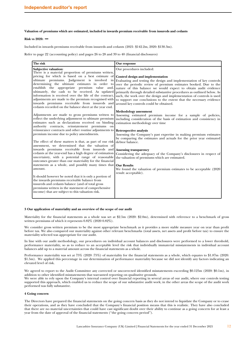### **Valuation of premiums which are estimated, included in inwards premium receivable from insureds and cedants**

### **Risk vs 2020:** ◄►

Included in inwards premiums receivable from insureds and cedants (2021: \$142.2m, 2020: \$130.3m).

Refer to page 22 (accounting policy) and pages 26 to 28 and 39 to 40 (financial disclosures)

| The risk                                                                                                                                                                                                                                                                                                                                                                                                                                                                         | Our response                                                                                                                                                                                                                                                                                                                                                                                                                                                                                                           |
|----------------------------------------------------------------------------------------------------------------------------------------------------------------------------------------------------------------------------------------------------------------------------------------------------------------------------------------------------------------------------------------------------------------------------------------------------------------------------------|------------------------------------------------------------------------------------------------------------------------------------------------------------------------------------------------------------------------------------------------------------------------------------------------------------------------------------------------------------------------------------------------------------------------------------------------------------------------------------------------------------------------|
| Subjective valuation:<br>There is a material proportion of premiums written,                                                                                                                                                                                                                                                                                                                                                                                                     | Our procedures included:                                                                                                                                                                                                                                                                                                                                                                                                                                                                                               |
| pricing for which is based on a best estimate of<br>ultimate premiums. Judgement is involved in<br>determining the ultimate estimates in order to<br>establish the appropriate premium value and,<br>ultimately, the cash to be received. As updated<br>information is received over the life of the contract,<br>adjustments are made to the premium recognised with<br>inwards premiums receivable from insureds and<br>cedants recorded on the balance sheet at the year end. | Control design and implementation<br>Evaluating and testing the design and implementation of key controls<br>over the periodic review of premium estimates booked. Due to the<br>nature of this balance we would expect to obtain audit evidence<br>primarily through detailed substantive procedures as outlined below. As<br>such, the work over the design and implementation of controls is used<br>to support our conclusions to the extent that the necessary evidence<br>around key controls could be obtained. |
| Adjustments are made to gross premiums written to<br>reflect the underlying adjustment to ultimate premium<br>estimates such as declarations received on binding<br>authority contracts, reinstatement premiums on                                                                                                                                                                                                                                                               | <b>Methodology</b> assessment<br>Assessing estimated premium income for a sample of policies,<br>including consideration of the basis of estimation and consistency in<br>estimation methodology over time                                                                                                                                                                                                                                                                                                             |
| reinsurance contracts and other routine adjustments to<br>premium income due to policy amendments.<br>The effect of these matters is that, as part of our risk                                                                                                                                                                                                                                                                                                                   | <b>Retrospective analysis</b><br>Assessing the Company's past expertise in making premium estimates<br>by comparing the estimates and actuals for the prior year estimated<br>debtor balance.                                                                                                                                                                                                                                                                                                                          |
| assessment, we determined that the valuation of<br>inwards premiums receivable from insureds and<br>cedants at the year-end has a high degree of estimation<br>uncertainty, with a potential range of reasonable<br>outcomes greater than our materiality for the financial                                                                                                                                                                                                      | <b>Assessing transparency</b><br>Considering the adequacy of the Company's disclosures in respect of<br>the valuation of premiums which are estimated.                                                                                                                                                                                                                                                                                                                                                                 |
| statements as a whole, and possibly many times that<br>amount.                                                                                                                                                                                                                                                                                                                                                                                                                   | <b>Our Results</b><br>We found the valuation of premium estimates to be acceptable (2020)<br>result: acceptable).                                                                                                                                                                                                                                                                                                                                                                                                      |
| It should however be noted that it is only a portion of<br>the inwards premiums receivable balance from<br>insureds and cedants balance (and of total gross<br>premiums written in the statement of comprehensive<br>income) that are subject to this valuation risk.                                                                                                                                                                                                            |                                                                                                                                                                                                                                                                                                                                                                                                                                                                                                                        |

### **3 Our application of materiality and an overview of the scope of our audit**

Materiality for the financial statements as a whole was set at \$2.5m (2020: \$2.0m), determined with reference to a benchmark of gross written premiums of which it represents 0.82% (2020 0.82%).

We consider gross written premium to be the most appropriate benchmark as it provides a more stable measure year on year than profit before tax. We also compared our materiality against other relevant benchmarks (total assets, net assets and profit before tax) to ensure the materiality selected was appropriate for our audit.

In line with our audit methodology, our procedures on individual account balances and disclosures were performed to a lower threshold, performance materiality, so as to reduce to an acceptable level the risk that individually immaterial misstatements in individual account balances add up to a material amount across the financial statements as a whole.

Performance materiality was set at 75% (2020 :75%) of materiality for the financial statements as a whole, which equates to \$1.87m (2020: \$1.5m). We applied this percentage in our determination of performance materiality because we did not identify any factors indicating an elevated level of risk.

We agreed to report to the Audit Committee any corrected or uncorrected identified misstatements exceeding \$0.125m (2020: \$0.1m), in addition to other identified misstatements that warranted reporting on qualitative grounds.

We were able to rely upon the Company's internal control over financial reporting in several areas of our audit, where our controls testing supported this approach, which enabled us to reduce the scope of our substantive audit work; in the other areas the scope of the audit work performed was fully substantive.

#### **4 Going concern**

The Directors have prepared the financial statements on the going concern basis as they do not intend to liquidate the Company or to cease their operations, and as they have concluded that the Company's financial position means that this is realistic. They have also concluded that there are no material uncertainties that could have cast significant doubt over their ability to continue as a going concern for at least a year from the date of approval of the financial statements ("the going concern period").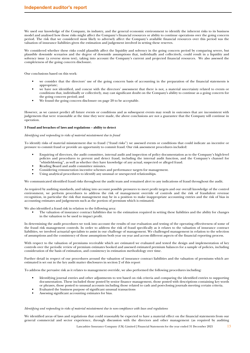We used our knowledge of the Company, its industry, and the general economic environment to identify the inherent risks to its business model and analysed how those risks might affect the Company's financial resources or ability to continue operations over the going concern period. The risk that we considered most likely to adversely affect the Company's available financial resources over this period was the valuation of insurance liabilities given the estimation and judgement involved in setting these reserves.

We considered whether these risks could plausibly affect the liquidity and solvency in the going concern period by comparing severe, but plausible downside scenarios and the degree of downside assumptions that, individually and collectively, could result in a liquidity and solvency issue (a reverse stress test), taking into account the Company's current and projected financial resources. We also assessed the completeness of the going concern disclosure.

Our conclusions based on this work:

- we consider that the directors' use of the going concern basis of accounting in the preparation of the financial statements is appropriate;
- we have not identified, and concur with the directors' assessment that there is not, a material uncertainty related to events or conditions that, individually or collectively, may cast significant doubt on the Company's ability to continue as a going concern for the going concern period; and
- We found the going concern disclosure on page 20 to be acceptable.

However, as we cannot predict all future events or conditions and as subsequent events may result in outcomes that are inconsistent with judgements that were reasonable at the time they were made, the above conclusions are not a guarantee that the Company will continue in operation.

### **5 Fraud and breaches of laws and regulations – ability to detect**

#### *Identifying and responding to risks of material misstatement due to fraud*

To identify risks of material misstatement due to fraud ("fraud risks") we assessed events or conditions that could indicate an incentive or pressure to commit fraud or provide an opportunity to commit fraud. Our risk assessment procedures included:

- Enquiring of directors, the audit committee, internal audit and inspection of policy documentation as to the Company's high-level policies and procedures to prevent and detect fraud, including the internal audit function, and the Company's channel for whistleblowing", as well as whether they have knowledge of any actual, suspected or alleged fraud.
- Reading Board and audit committee minutes.
- Considering remuneration incentive schemes and performance targets for management.
- Using analytical procedures to identify any unusual or unexpected relationships.

We communicated identified fraud risks throughout the audit team and remained alert to any indications of fraud throughout the audit.

As required by auditing standards, and taking into account possible pressures to meet profit targets and our overall knowledge of the control environment, we perform procedures to address the risk of management override of controls and the risk of fraudulent revenue recognition, in particular the risk that management may be in a position to make inappropriate accounting entries and the risk of bias in accounting estimates and judgements such as the portion of premium which is estimated.

We also identified a fraud risk in relation to the following area:

• The valuation of insurance contract liabilities due to the estimation required in setting these liabilities and the ability for changes in the valuation to be used to impact profit.

In determining the audit procedures we took into account the results of our evaluation and testing of the operating effectiveness of some of the fraud risk management controls. In order to address the risk of fraud specifically as it relates to the valuation of insurance contract liabilities, we involved actuarial specialists to assist in our challenge of management. We challenged management in relation to the selection of assumptions and the consistency of those assumptions both year on year and across different aspects of the financial reporting process.

With respect to the valuation of premiums receivable which are estimated we evaluated and tested the design and implementation of key controls over the periodic review of premium estimates booked and assessed estimated premium balances for a sample of policies, including consideration of the basis of estimation, and consistency in estimation methodology over time.

Further detail in respect of our procedures around the valuation of insurance contract liabilities and the valuation of premiums which are estimated is set out in the key audit matter disclosures in section 2 of this report

To address the pervasive risk as it relates to management override, we also performed the following procedures including:

- Identifying journal entries and other adjustments to test based on risk criteria and comparing the identified entries to supporting documentation. These included those posted by senior finance management, those posted with descriptions containing key words or phrases, those posted to unusual accounts including those related to cash and post-closing journals meeting certain criteria.
- Evaluated the business purpose of significant unusual transactions
- Assessing significant accounting estimates for bias.

### *Identifying and responding to risks of material misstatement due to non-compliance with laws and regulations*

We identified areas of laws and regulations that could reasonably be expected to have a material effect on the financial statements from our general commercial and sector experience, through discussion with the directors and other management (as required by auditing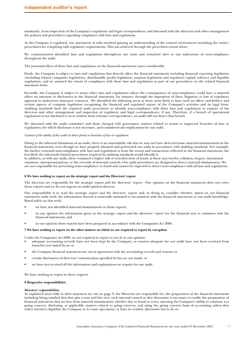standards), from inspection of the Company's regulatory and legal correspondence and discussed with the directors and other management the policies and procedures regarding compliance with laws and regulations.

As the Company is regulated, our assessment of risks involved gaining an understanding of the control environment including the entity's procedures for complying with regulatory requirements. This was achieved through the procedures noted above.

We communicated identified laws and regulations throughout our team and remained alert to any indications of non-compliance throughout the audit.

The potential effect of these laws and regulations on the financial statements varies considerably.

Firstly, the Company is subject to laws and regulations that directly affect the financial statements including financial reporting legislation (including related companies legislation), distributable profits legislation, taxation legislation and regulatory capital, solvency and liquidity regulations, and we assessed the extent of compliance with these laws and regulations as part of our procedures on the related financial statement items.

Secondly, the Company is subject to many other laws and regulations where the consequences of non-compliance could have a material effect on amounts or disclosures in the financial statements, for instance through the imposition of fines, litigation or loss of regulatory approval to underwrite insurance contracts. We identified the following areas as those most likely to have such an effect: anti-bribery and certain aspects of company legislation recognising the financial and regulated nature of the Company's activities and its legal form. Auditing standards limit the required audit procedures to identify non-compliance with these laws and regulations to enquiry of the directors and other management and inspection of regulatory and legal correspondence, if any. Therefore, if a breach of operational regulations is not disclosed to us or evident from relevant correspondence, an audit will not detect that breach.

We discussed with the audit committee and those charged with governance matters related to actual or suspected breaches of laws or regulations, for which disclosure is not necessary, and considered any implications for our audit.

### *Context of the ability of the audit to detect fraud or breaches of law or regulation*

Owing to the inherent limitations of an audit, there is an unavoidable risk that we may not have detected some material misstatements in the financial statements, even though we have properly planned and performed our audit in accordance with auditing standards. For example, the further removed non-compliance with laws and regulations is from the events and transactions reflected in the financial statements, the less likely the inherently limited procedures required by auditing standards would identify it.

In addition, as with any audit, there remained a higher risk of non-detection of fraud, as these may involve collusion, forgery, intentional omissions, misrepresentations, or the override of internal controls. Our audit procedures are designed to detect material misstatement. We are not responsible for preventing non-compliance or fraud and cannot be expected to detect non-compliance with all laws and regulations.

### **6 We have nothing to report on the strategic report and the Directors' report**

The directors are responsible for the strategic report and the directors' report. Our opinion on the financial statements does not cover those reports and we do not express an audit opinion thereon.

Our responsibility is to read the strategic report and the directors' report and, in doing so, consider whether, based on our financial statements audit work, the information therein is materially misstated or inconsistent with the financial statements or our audit knowledge. Based solely on that work:

- we have not identified material misstatements in those reports;
- in our opinion the information given in the strategic report and the directors' report for the financial year is consistent with the financial statements; and
- in our opinion those reports have been prepared in accordance with the Companies Act 2006.

### **7 We have nothing to report on the other matters on which we are required to report by exception**

Under the Companies Act 2006, we are required to report to you if, in our opinion:

- adequate accounting records have not been kept by the Company, or returns adequate for our audit have not been received from branches not visited by us; or
- the Company financial statements are not in agreement with the accounting records and returns; or
- certain disclosures of directors' remuneration specified by law are not made; or
- we have not received all the information and explanations we require for our audit.

We have nothing to report in these respects.

### **8 Respective responsibilities**

### *Directors' responsibilities*

As explained more fully in their statement set out on page 9, the Directors are responsible for: the preparation of the financial statements including being satisfied that they give a true and fair view; such internal control as they determine is necessary to enable the preparation of financial statements that are free from material misstatement, whether due to fraud or error; assessing the Company's ability to continue as a going concern, disclosing, as applicable, matters related to going concern; and using the going concern basis of accounting unless they either intend to liquidate the Company or to cease operations, or have no realistic alternative but to do so.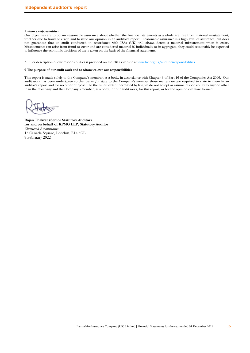### *Auditor's responsibilities*

Our objectives are to obtain reasonable assurance about whether the financial statements as a whole are free from material misstatement, whether due to fraud or error, and to issue our opinion in an auditor's report. Reasonable assurance is a high level of assurance, but does not guarantee that an audit conducted in accordance with ISAs (UK) will always detect a material misstatement when it exists. Misstatements can arise from fraud or error and are considered material if, individually or in aggregate, they could reasonably be expected to influence the economic decisions of users taken on the basis of the financial statements.

A fuller description of our responsibilities is provided on the FRC's website at www.frc.org.uk/auditorsresponsibilities.

# **9 The purpose of our audit work and to whom we owe our responsibilities**

This report is made solely to the Company's member, as a body, in accordance with Chapter 3 of Part 16 of the Companies Act 2006. Our audit work has been undertaken so that we might state to the Company's member those matters we are required to state to them in an auditor's report and for no other purpose. To the fullest extent permitted by law, we do not accept or assume responsibility to anyone other than the Company and the Company's member, as a body, for our audit work, for this report, or for the opinions we have formed.

**Rajan Thakrar (Senior Statutory Auditor) for and on behalf of KPMG LLP, Statutory Auditor**  *Chartered Accountants*  15 Canada Square, London, E14 5GL 9 February 2022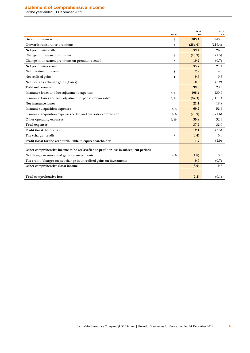# <span id="page-15-0"></span>**Statement of comprehensive income**

For the year ended 31 December 2021

| <b>Notes</b>                                                                          | 2021<br>\$m | 2020<br>$\mathbf{Sm}$ |
|---------------------------------------------------------------------------------------|-------------|-----------------------|
| Gross premiums written<br>3                                                           | 303.4       | 243.0                 |
| Outwards reinsurance premiums<br>3                                                    | (264.0)     | (216.4)               |
| Net premiums written                                                                  | 39.4        | 26.6                  |
| Change in unearned premiums<br>3                                                      | (13.9)      | (1.5)                 |
| Change in unearned premiums on premiums ceded<br>3                                    | 10.2        | (0.7)                 |
| Net premiums earned                                                                   | 35.7        | 24.4                  |
| Net investment income<br>$\overline{4}$                                               | 2.9         | 4.0                   |
| Net realised gains<br>$\overline{4}$                                                  | 0.6         | 0.3                   |
| Net foreign exchange gains (losses)                                                   | 0.6         | (0.2)                 |
| <b>Total net revenue</b>                                                              | 39.8        | 28.5                  |
| Insurance losses and loss adjustment expenses<br>3, 11                                | 108.4       | 130.9                 |
| Insurance losses and loss adjustment expenses recoverable<br>3, 11                    | (87.3)      | (112.1)               |
| Net insurance losses                                                                  | 21.1        | 18.8                  |
| Insurance acquisition expenses<br>3, 5                                                | 60.7        | 52.5                  |
| Insurance acquisition expenses ceded and overrider commission<br>3, 5                 | (79.9)      | (71.6)                |
| Other operating expenses<br>6, 15                                                     | 35.8        | 32.3                  |
| <b>Total expenses</b>                                                                 | 37.7        | 32.0                  |
| Profit (loss) before tax                                                              | 2.1         | (3.5)                 |
| Tax (charge) credit<br>$\overline{7}$                                                 | (0.4)       | 0.6                   |
| Profit (loss) for the year attributable to equity shareholder                         | 1.7         | (2.9)                 |
| Other comprehensive income to be reclassified to profit or loss in subsequent periods |             |                       |
| Net change in unrealised gains on investments<br>4, 9                                 | (4.8)       | 3.5                   |
| Tax credit (charge) on net change in unrealised gains on investments                  | 0.9         | (0.7)                 |
| Other comprehensive (loss) income                                                     | (3.9)       | 2.8                   |
|                                                                                       |             |                       |
| <b>Total comprehensive loss</b>                                                       | (2.2)       | (0.1)                 |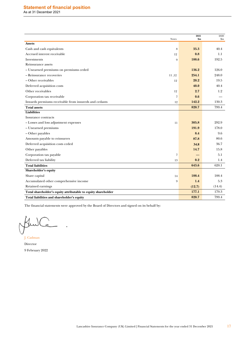<span id="page-16-0"></span>

| <b>Notes</b>                                                  | 2021<br>$\mathbf{Sm}$ | 2020<br>$\mathbf{S}$ m |
|---------------------------------------------------------------|-----------------------|------------------------|
| <b>Assets</b>                                                 |                       |                        |
| Cash and cash equivalents<br>8                                | 35.3                  | 40.4                   |
| Accrued interest receivable<br>12                             | 0.8                   | 1.1                    |
| Investments<br>9                                              | 188.6                 | 192.5                  |
| Reinsurance assets                                            |                       |                        |
| - Unearned premiums on premiums ceded                         | 136.2                 | 126.0                  |
| - Reinsurance recoveries<br>11,12                             | 254.1                 | 248.0                  |
| – Other receivables<br>12                                     | 20.2                  | 19.5                   |
| Deferred acquisition costs                                    | 40.0                  | 40.4                   |
| Other receivables<br>12                                       | 2.7                   | 1.2                    |
| Corporation tax receivable<br>$\overline{7}$                  | 0.6                   |                        |
| Inwards premiums receivable from insureds and cedants<br>12   | 142.2                 | 130.3                  |
| <b>Total assets</b>                                           | 820.7                 | 799.4                  |
| <b>Liabilities</b>                                            |                       |                        |
| Insurance contracts                                           |                       |                        |
| - Losses and loss adjustment expenses<br>11                   | 305.8                 | 292.9                  |
| - Unearned premiums                                           | 191.9                 | 178.0                  |
| - Other payables                                              | 8.4                   | 9.6                    |
| Amounts payable to reinsurers                                 | 87.8                  | 80.6                   |
| Deferred acquisition costs ceded                              | 34.8                  | 36.7                   |
| Other payables                                                | 14.7                  | 15.8                   |
| Corporation tax payable<br>$\overline{7}$                     |                       | 5.1                    |
| Deferred tax liability<br>13                                  | 0.2                   | 1.4                    |
| <b>Total liabilities</b>                                      | 643.6                 | 620.1                  |
| Shareholder's equity                                          |                       |                        |
| Share capital<br>14                                           | 188.4                 | 188.4                  |
| Accumulated other comprehensive income<br>9                   | 1.4                   | 5.3                    |
| Retained earnings                                             | (12.7)                | (14.4)                 |
| Total shareholder's equity attributable to equity shareholder | 177.1                 | 179.3                  |
| Total liabilities and shareholder's equity                    | 820.7                 | 799.4                  |

The financial statements were approved by the Board of Directors and signed on its behalf by:

Q Jeu

J. Cadman Director 9 February 2022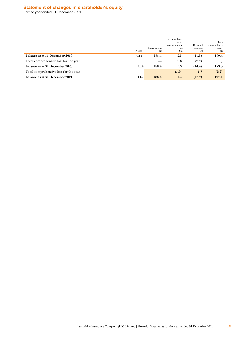# <span id="page-17-0"></span>**Statement of changes in shareholder's equity**

For the year ended 31 December 2021

|                                       | <b>Notes</b> | Share capital<br>$\mathbf{\$m}$ | Accumulated<br>other<br>comprehensive<br><b>loss</b><br>\$m | Retained<br>earnings<br>\$m | Total<br>shareholder's<br>equity<br>\$m |
|---------------------------------------|--------------|---------------------------------|-------------------------------------------------------------|-----------------------------|-----------------------------------------|
| Balance as at 31 December 2019        | 9,14         | 188.4                           | 2.5                                                         | (11.5)                      | 179.4                                   |
| Total comprehensive loss for the year |              |                                 | 2.8                                                         | (2.9)                       | (0.1)                                   |
| Balance as at 31 December 2020        | 9,14         | 188.4                           | 5.3                                                         | (14.4)                      | 179.3                                   |
| Total comprehensive loss for the year |              |                                 | (3.9)                                                       | 1.7                         | (2.2)                                   |
| Balance as at 31 December 2021        | 9,14         | 188.4                           | 1.4                                                         | (12.7)                      | 177.1                                   |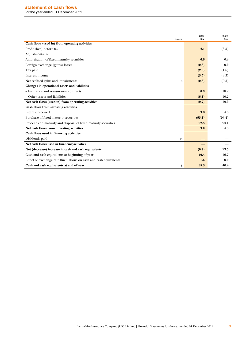# <span id="page-18-0"></span>**Statement of cash flows**

For the year ended 31 December 2021

| <b>Notes</b>                                                      | 2021<br>\$m | 2020<br>$\mathbf{S}$ m |
|-------------------------------------------------------------------|-------------|------------------------|
| Cash flows (used in) from operating activities                    |             |                        |
| Profit (loss) before tax                                          | 2.1         | (3.5)                  |
| <b>Adjustments for</b>                                            |             |                        |
| Amortisation of fixed maturity securities                         | 0.6         | 0.3                    |
| Foreign exchange (gains) losses                                   | (0.6)       | 0.2                    |
| Tax paid                                                          | (2.5)       | (1.6)                  |
| Interest income                                                   | (3.5)       | (4.3)                  |
| Net realised gains and impairments<br>$\overline{4}$              | (0.6)       | (0.3)                  |
| Changes in operational assets and liabilities                     |             |                        |
| - Insurance and reinsurance contracts                             | 0.9         | 18.2                   |
| - Other assets and liabilities                                    | (6.1)       | 10.2                   |
| Net cash flows (used in) from operating activities                | (9.7)       | 19.2                   |
| Cash flows from investing activities                              |             |                        |
| Interest received                                                 | 3.8         | 4.6                    |
| Purchase of fixed maturity securities                             | (93.1)      | (93.4)                 |
| Proceeds on maturity and disposal of fixed maturity securities    | 92.3        | 93.1                   |
| Net cash flows from investing activities                          | 3.0         | 4.3                    |
| Cash flows used in financing activities                           |             |                        |
| Dividends paid<br>14                                              |             |                        |
| Net cash flows used in financing activities                       |             |                        |
| Net (decrease) increase in cash and cash equivalents              | (6.7)       | 23.5                   |
| Cash and cash equivalents at beginning of year                    | 40.4        | 16.7                   |
| Effect of exchange rate fluctuations on cash and cash equivalents | 1.6         | 0.2                    |
| Cash and cash equivalents at end of year<br>8                     | 35.3        | 40.4                   |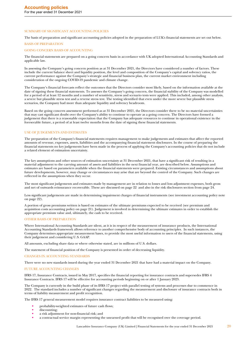### <span id="page-19-0"></span>SUMMARY OF SIGNIFICANT ACCOUNTING POLICIES

The basis of preparation and significant accounting policies adopted in the preparation of LUK's financial statements are set out below.

# BASIS OF PREPARATION

### GOING CONCERN BASIS OF ACCOUNTING

The financial statements are prepared on a going concern basis in accordance with UK adopted International Accounting Standards and applicable law.

In assessing the Company's going concern position as at 31 December 2021, the Directors have considered a number of factors. These include the current balance sheet and liquidity position, the level and composition of the Company's capital and solvency ratios, the current performance against the Company's strategic and financial business plan, the current market environment including consideration of the ongoing COVID-19 pandemic and climate change.

The Company's financial forecasts reflect the outcomes that the Directors consider most likely, based on the information available at the date of signing these financial statements. To assesses the Company's going concern, the financial stability of the Company was modelled for a period of at least 12 months and a number of sensitivity, stress and scenario tests were applied. This included, among other analysis, a severe but plausible stress test and a reverse stress test. The testing identified that even under the more severe but plausible stress scenarios, the Company had more than adequate liquidity and solvency headroom.

Based on the going concern assessment performed as at 31 December 2021, the Directors consider there to be no material uncertainties that may cast significant doubt over the Company's ability to continue to operate as a going concern. The Directors have formed a judgement that there is a reasonable expectation that the Company has adequate resources to continue in operational existence in the foreseeable future, a period of at least twelve months from the date of signing these financial statements.

### USE OF JUDGEMENTS AND ESTIMATES

The preparation of the Company's financial statements requires management to make judgements and estimates that affect the reported amounts of revenue, expenses, assets, liabilities and the accompanying financial statement disclosures. In the course of preparing the financial statements no key judgements have been made in the process of applying the Company's accounting policies that do not include a related element of estimation uncertainty.

The key assumptions and other sources of estimation uncertainty at 31 December 2021, that have a significant risk of resulting in a material adjustment to the carrying amount of assets and liabilities in the next financial year, are described below. Assumptions and estimates are based on parameters available when the financial statements were prepared. Existing circumstances and assumptions about future developments, however, may change or circumstances may arise that are beyond the control of the Company. Such changes are reflected in the assumptions when they occur.

The most significant judgements and estimates made by management are in relation to losses and loss adjustment expenses, both gross and net of outwards reinsurance recoverable. These are discussed on page 22 and also in the risk disclosures section from page 24.

Less significant judgements are made in determining impairment charges of financial instruments (see investment accounting policy note on page 22).

A portion of gross premiums written is based on estimates of the ultimate premiums expected to be received (see premium and acquisition costs accounting policy on page 21). Judgement is involved in determining the ultimate estimates in order to establish the appropriate premium value and, ultimately, the cash to be received.

### OTHER BASIS OF PREPARATION

Where International Accounting Standards are silent, as it is in respect of the measurement of insurance products, the International Accounting Standards framework allows reference to another comprehensive body of accounting principles. In such instances, the Company determines appropriate measurement bases, to provide the most useful information to users of the financial statements, using their judgement and considering U.S. GAAP.

All amounts, excluding share data or where otherwise stated, are in millions of U.S. dollars.

The statement of financial position of the Company is presented in order of decreasing liquidity.

### CHANGES IN ACCOUNTING STANDARDS

There were no new standards issued during the year ended 31 December 2021 that have had a material impact on the Company.

#### FUTURE ACCOUNTING CHANGES

IFRS 17, Insurance Contracts, issued in May 2017, specifies the financial reporting for insurance contracts and supersedes IFRS 4 Insurance Contracts. IFRS 17 will be effective for accounting periods beginning on or after 1 January 2023.

The Company is currently in the build phase of its IFRS 17 project with parallel testing of systems and processes due to commence in 2022. The standard includes a number of significant changes regarding the measurement and disclosure of insurance contracts both in terms of liability measurement and profit recognition.

The IFRS 17 general measurement model requires insurance contract liabilities to be measured using:

- probability-weighted estimates of future cash flows;
- discounting;
- a risk adjustment for non-financial risk; and
- a contractual service margin representing the unearned profit that will be recognised over the coverage period.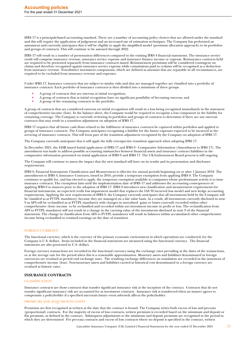IFRS 17 is a principals-based accounting standard. There are a number of accounting policy choices that are allowed under the standard and this will require the application of judgement and an increased use of estimation techniques. The Company has performed an assessment and currently anticipates that it will be eligible to apply the simplified model (premium allocation approach) to its portfolios and groups of contracts. This will continue to be assessed through 2022.

IFRS 17 will result in a number of presentation differences compared to the existing IFRS 4 financial statements. The insurance service result will comprise insurance revenue, insurance service expense and insurance finance income or expense. Reinsurance contracts held are required to be presented separately from insurance contracts issued. Reinstatement premiums will be considered contingent on claims and therefore recognised against insurance service expense while commissions paid to cedants will be recognised as a deduction from insurance revenue. Non-distinct investment components, which are defined as amounts that are repayable in all circumstances, are required to be excluded from insurance revenue and expenses.

Under IFRS 17, Insurance contracts that are subject to similar risks and that are managed together are classified into a portfolio of insurance contracts. Each portfolio of insurance contracts is then divided into a minimum of three groups.

- A group of contracts that are onerous at initial recognition;
- A group of contracts that at initial recognition have no significant possibility of becoming onerous; and
- A group of the remaining contracts in the portfolio.

A group of contracts that are considered onerous on initial recognition will result in a loss being recognised immediately in the statement of comprehensive income (loss). In the balance sheet, the Company would be required to recognise a loss component in the liability for remaining coverage. The Company is currently reviewing its portfolios and groups of contracts to determine if there are any onerous contracts that may result in a transition adjustment on adoption of IFRS 17.

IFRS 17 requires that all future cash flows related to the fulfilment of insurance contracts be captured within portfolios and applied to groups of insurance contracts. The Company anticipates recognising a liability for the future expenses expected to be incurred in the servicing of insurance contracts. This will form part of the transition adjustment recognised by the Company on adoption of IFRS 17.

The Company currently anticipates that it will apply the fully retrospective transition approach when adopting IFRS 17.

In December 2021, the IASB issued Initial application of IFRS 17 and IFRS 9 - Comparative Information (Amendment to IFRS 17). The amendment was made to address possible accounting mismatches between financial assets and insurance contract liabilities in the comparative information presented on initial application of IFRS 9 and IFRS 17. The UK Endorsement Board process is still ongoing.

The Company will continue to assess the impact that the new standard will have on its results and its presentation and disclosure requirements.

IFRS 9, Financial Instruments: Classification and Measurement is effective for annual periods beginning on or after 1 January 2018. The amendments to IFRS 4, Insurance Contracts, issued in 2016, provide a temporary exemption from applying IFRS 9. The Company continues to qualify for, and has elected to apply, the temporary exemption available to companies whose predominant activity is to issue insurance contracts. The exemption lasts until the implementation date of IFRS 17 and addresses the accounting consequences of applying IFRS 9 to insurers prior to the adoption of IFRS 17. IFRS 9 introduces new classification and measurement requirements for financial instruments, an expected credit loss impairment model that replaces the IAS 39 incurred loss model and new hedge accounting requirements. Applying the new requirements of IFRS 9, the Company currently anticipates that all investments held by the Company will be classified as at FVTPL mandatory, because they are managed on a fair value basis. As a result, all investments currently disclosed in note 9 as AFS will be reclassified as at FVTPL mandatory with changes in unrealised gains or losses currently recorded within other comprehensive (loss) income to be reclassified and recorded within net investment income in profit or loss. The reclassification from AFS to FVTPL mandatory will not result in a change in the carrying value of the investments disclosed in note 9 of the financial statements. The change in classification from AFS to FVTPL mandatory will result in balances within accumulated other comprehensive income being reclassified to retained earnings on the date of transition.

### FOREIGN CURRENCY

The functional currency, which is the currency of the primary economic environment in which operations are conducted, for the Company is U.S. dollars. Items included in the financial statements are measured using the functional currency. The financial statements are also presented in U.S. dollars.

Foreign currency transactions are recorded in the functional currency using the exchange rates prevailing at the dates of the transactions, or at the average rate for the period when this is a reasonable approximation. Monetary assets and liabilities denominated in foreign currencies are revalued at period end exchange rates. The resulting exchange differences on translation are recorded in the statement of comprehensive income (loss). Non-monetary assets and liabilities carried at historical cost denominated in a foreign currency are revalued at historic rates.

### **INSURANCE CONTRACTS**

### **CLASSIFICATION**

Insurance contracts are those contracts that transfer significant insurance risk at the inception of the contract. Contracts that do not transfer significant insurance risk are accounted for as investment contracts. Insurance risk is transferred when an insurer agrees to compensate a policyholder if a specified uncertain future event adversely affects the policyholder.

### PREMIUMS AND ACQUISITION COSTS

Premiums are first recognised as written at the date that the contract is bound. The Company writes both excess of loss and pro-rata (proportional) contracts. For the majority of excess of loss contracts, written premium is recorded based on the minimum and deposit or flat premium, as defined in the contract. Subsequent adjustments to the minimum and deposit premium are recognised in the period in which they are determined. For pro-rata contracts and excess of loss contracts where no deposit is specified in the contract, written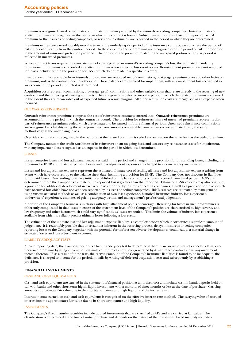premium is recognised based on estimates of ultimate premiums provided by the insureds or ceding companies. Initial estimates of written premium are recognised in the period in which the contract is bound. Subsequent adjustments, based on reports of actual premium by the insureds or ceding companies, or revisions in estimates, are recorded in the period in which they are determined.

Premiums written are earned rateably over the term of the underlying risk period of the insurance contract, except where the period of risk differs significantly from the contract period. In these circumstances, premiums are recognised over the period of risk in proportion to the amount of insurance protection provided. The portion of the premium related to the unexpired portion of the risk period is reflected in unearned premiums.

Where contract terms require the reinstatement of coverage after an insured's or ceding company's loss, the estimated mandatory reinstatement premiums are recorded as written premiums when a specific loss event occurs. Reinstatement premiums are not recorded for losses included within the provision for IBNR which do not relate to a specific loss event.

Inwards premiums receivable from insureds and cedants are recorded net of commissions, brokerage, premium taxes and other levies on premiums, unless the contract specifies otherwise. These balances are reviewed for impairment, with any impairment loss recognised as an expense in the period in which it is determined.

Acquisition costs represent commissions, brokerage, profit commissions and other variable costs that relate directly to the securing of new contracts and the renewing of existing contracts. They are generally deferred over the period in which the related premiums are earned to the extent they are recoverable out of expected future revenue margins. All other acquisition costs are recognised as an expense when incurred.

### OUTWARDS REINSURANCE

Outwards reinsurance premiums comprise the cost of reinsurance contracts entered into. Outwards reinsurance premiums are accounted for in the period in which the contract is bound. The provision for reinsurers' share of unearned premiums represents that part of reinsurance premiums ceded which are estimated to be earned in future financial periods. Unearned reinsurance commissions are recognised as a liability using the same principles. Any amounts recoverable from reinsurers are estimated using the same methodology as the underlying losses.

Override commission is recognised in the period that the related premium is ceded and earned on the same basis as the ceded premium.

The Company monitors the credit-worthiness of its reinsurers on an on-going basis and assesses any reinsurance assets for impairment, with any impairment loss recognised as an expense in the period in which it is determined.

### **LOSSES**

Losses comprise losses and loss adjustment expenses paid in the period and changes in the provision for outstanding losses, including the provision for IBNR and related expenses. Losses and loss adjustment expenses are charged to income as they are incurred.

Losses and loss adjustment expenses represent the estimated ultimate cost of settling all losses and loss adjustment expenses arising from events which have occurred up to the balance sheet date, including a provision for IBNR. The Company does not discount its liabilities for unpaid losses. Outstanding losses are initially established on the basis of reports of losses received from third parties. ACRs are determined where the Company's estimate of the reported loss is greater than that reported. Estimated IBNR reserves may also consist of a provision for additional development in excess of losses reported by insureds or ceding companies, as well as a provision for losses which have occurred but which have not yet been reported by insureds or ceding companies. IBNR reserves are estimated by management using various actuarial methods as well as a combination of own loss experience, historical insurance industry loss experience, underwriters' experience, estimates of pricing adequacy trends, and management's professional judgement.

A portion of the Company's business is in classes with high attachment points of coverage. Reserving for losses in such programmes is inherently complicated in that losses in excess of the attachment level of the Company's policies are characterised by high severity and low frequency and other factors which could vary significantly as losses are settled. This limits the volume of industry loss experience available from which to reliably predict ultimate losses following a loss event.

The estimation of the ultimate loss and loss adjustment expense liability is a complex process which incorporates a significant amount of judgement. It is reasonably possible that uncertainties inherent in the reserving process, delays in insureds or ceding companies reporting losses to the Company, together with the potential for unforeseen adverse developments, could lead to a material change in estimated losses and loss adjustment expenses.

### LIABILITY ADEQUACY TESTS

At each reporting date, the Company performs a liability adequacy test to determine if there is an overall excess of expected claims over unearned premiums by using current best estimates of future cash outflows generated by its insurance contracts, plus any investment income thereon. If, as a result of these tests, the carrying amount of the Company's insurance liabilities is found to be inadequate, the deficiency is charged to income for the period, initially by writing off deferred acquisition costs and subsequently by establishing a provision.

### **FINANCIAL INSTRUMENTS**

### CASH AND CASH EQUIVALENTS

Cash and cash equivalents are carried in the statement of financial position at amortised cost and include cash in hand, deposits held on call with banks and other short-term highly liquid investments with a maturity of three months or less at the date of purchase. Carrying amounts approximate fair value due to the short-term nature and high liquidity of the instruments.

Interest income earned on cash and cash equivalents is recognised on the effective interest rate method. The carrying value of accrued interest income approximates fair value due to its short-term nature and high liquidity.

#### INVESTMENTS

The Company's fixed maturity securities include quoted investments that are classified as AFS and are carried at fair value. The classification is determined at the time of initial purchase and depends on the nature of the investment. Fixed maturity securities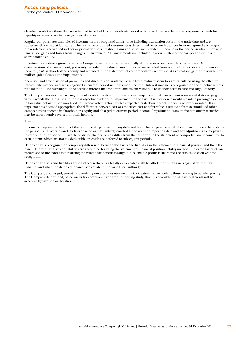classified as AFS are those that are intended to be held for an indefinite period of time and that may be sold in response to needs for liquidity or in response to changes in market conditions.

Regular way purchases and sales of investments are recognised at fair value including transaction costs on the trade date and are subsequently carried at fair value. The fair value of quoted investments is determined based on bid prices from recognised exchanges, broker-dealers, recognised indices or pricing vendors. Realised gains and losses are included in income in the period in which they arise. Unrealised gains and losses from changes in fair value of AFS investments are included in accumulated other comprehensive loss in shareholder's equity.

Investments are derecognised when the Company has transferred substantially all of the risks and rewards of ownership. On derecognition of an investment, previously recorded unrealised gains and losses are recycled from accumulated other comprehensive income (loss) in shareholder's equity and included in the statements of comprehensive income (loss) as a realised gain or loss within net realised gains (losses) and impairments.

Accretion and amortisation of premiums and discounts on available for sale fixed maturity securities are calculated using the effective interest rate method and are recognised in current period net investment income. Interest income is recognised on the effective interest rate method. The carrying value of accrued interest income approximates fair value due to its short-term nature and high liquidity.

The Company reviews the carrying value of its AFS investments for evidence of impairment. An investment is impaired if its carrying value exceeds the fair value and there is objective evidence of impairment to the asset. Such evidence would include a prolonged decline in fair value below cost or amortised cost, where other factors, such as expected cash flows, do not support a recovery in value. If an impairment is deemed appropriate, the difference between cost or amortised cost and fair value is removed from accumulated other comprehensive income in shareholder's equity and charged to current period income. Impairment losses on fixed maturity securities may be subsequently reversed through income.

### TAX

Income tax represents the sum of the tax currently payable and any deferred tax. The tax payable is calculated based on taxable profit for the period using tax rates and tax laws enacted or substantively enacted at the year end reporting date and any adjustments to tax payable in respect of prior periods. Taxable profit for the period can differ from that reported in the statement of comprehensive income due to certain items which are not tax deductible or which are deferred to subsequent periods.

Deferred tax is recognised on temporary differences between the assets and liabilities in the statement of financial position and their tax base. Deferred tax assets or liabilities are accounted for using the statement of financial position liability method. Deferred tax assets are recognised to the extent that realising the related tax benefit through future taxable profits is likely and are reassessed each year for recognition.

Deferred tax assets and liabilities are offset when there is a legally enforceable right to offset current tax assets against current tax liabilities and when the deferred income taxes relate to the same fiscal authority.

The Company applies judgement in identifying uncertainties over income tax treatments, particularly those relating to transfer pricing. The Company determined, based on its tax compliance and transfer pricing study, that it is probable that its tax treatments will be accepted by taxation authorities.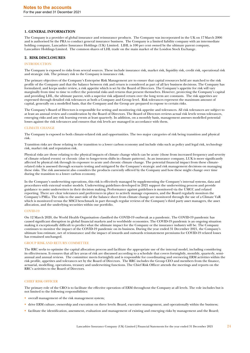### <span id="page-23-0"></span>**1. GENERAL INFORMATION**

The Company is a provider of global insurance and reinsurance products. The Company was incorporated in the UK on 17 March 2006 and is authorised by the PRA to conduct general insurance business. The Company is a limited liability company with an intermediate holding company, Lancashire Insurance Holdings (UK) Limited. LIHL is 100 per cent owned by the ultimate parent company, Lancashire Holdings Limited. The common shares of LHL trade on the main market of the London Stock Exchange.

### **2. RISK DISCLOSURES**

### **INTRODUCTION**

The Company is exposed to risks from several sources. These include insurance risk, market risk, liquidity risk, credit risk, operational risk and strategic risk. The primary risk to the Company is insurance risk.

The primary objectives of the Company's Enterprise Risk Management are to ensure that capital resources held are matched to the risk profile of the Company and that the balance between risk and return is considered as part of all key business decisions. The Company has formulated, and keeps under review, a risk appetite which is set by the Board of Directors. The Company's appetite for risk will vary marginally from time to time to reflect the potential risks and returns that present themselves. However, protecting the Company's capital and providing LHL, the ultimate parent, with a superior risk adjusted return over the long term are constants. The risk appetites are expressed through detailed risk tolerances at both a Company and Group level. Risk tolerances represent the maximum amount of capital, generally on a modelled basis, that the Company and the Group are prepared to expose to certain risks.

The Company's Board of Directors is responsible for setting and monitoring risk appetite and tolerances. All risk tolerances are subject to at least an annual review and consideration by the Board of Directors. The Board of Directors reviews actual risk levels versus tolerances, emerging risks and any risk learning events at least quarterly. In addition, on a monthly basis, management assesses modelled potential losses against the risk tolerances and ensures that risk levels are managed in accordance with them.

### CLIMATE CHANGE

The Company is exposed to both climate-related risk and opportunities. The two major categories of risk being transition and physical risk.

Transition risks are those relating to the transition to a lower carbon economy and include risks such as policy and legal risk, technology risk, market risk and reputation risk.

Physical risks are those relating to the physical impacts of climate change which can be acute (those from increased frequency and severity of climate related events) or chronic (due to longer-term shifts in climate patterns). As an insurance company, LUK is more significantly affected by physical risk through its exposure to acute and chronic climate change. The potential financial impact from these climaterelated risks is assessed through scenario testing and mitigated by the Company's strategic and risk management decisions on managing these risks. The risk assessment also considers the products currently offered by the Company and how these might change over time during the transition to a lower carbon economy.

In the Company's underwriting operations, this risk is effectively managed by supplementing the Company's internal systems, data and procedures with external vendor models. Underwriting guidelines developed in 2021 support the underwriting process and provide guidance to assist underwriters in their decision making. Performance against guidelines is monitored via the UMCC and related reporting. There are clear tolerances and preferences in place to actively manage exposures, and the Board regularly monitors the Company's PMLs. The risks to the asset side of the balance sheet from climate change are monitored through the use of a Climate VaR which is monitored versus the MSCI benchmark in part through regular reviews of the Company's third party asset managers, the asset allocation, and the underlying securities within our portfolio.

### COVID-19

On 12 March 2020, the World Health Organisation classified the COVID-19 outbreak as a pandemic. The COVID-19 pandemic has caused significant disruption in global financial markets and to worldwide economies. The COVID-19 pandemic is an ongoing situation making it exceptionally difficult to predict what the ultimate impact for the Company or the insurance industry will be. The Company continues to monitor the impact of the COVID-19 pandemic on its business. During the year ended 31 December 2021, the Company's ultimate loss estimate, net of reinsurance and the impact of inwards and outwards reinstatement premiums for COVID-19 related losses has remained unchanged.

### GROUP RISK AND RETURN COMMITTEE

The RRC seeks to optimise the capital allocation process and facilitate the appropriate use of the internal model, including considering its effectiveness. It ensures that all key areas of risk are discussed according to a schedule that covers fortnightly, monthly, quarterly, semiannual and annual reviews. The committee meets fortnightly and is responsible for coordinating and overseeing ERM activities within the risk profile, appetites and tolerances set by the Board of Directors. The RRC includes the Group CEO and members from the finance, actuarial, modelling, operations, treasury and underwriting functions. The Chief Risk Officer attends the meetings and reports on the RRC's activities to the Board of Directors.

### CHIEF RISK OFFICER

The primary role of the CRO is to facilitate the effective operation of ERM throughout the Company at all levels. The role includes but is not limited to the following responsibilities:

- overall management of the risk management system;
- drive ERM culture, ownership and execution on three levels: Board, executive management, and operationally within the business;
- facilitate the identification, assessment, evaluation and management of existing and emerging risks by management and the Board;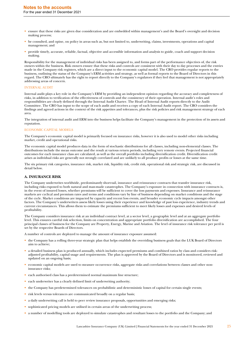- ensure that these risks are given due consideration and are embedded within management's and the Board's oversight and decision making process;
- be consulted, and opine, on policy in areas such as, but not limited to, underwriting, claims, investments, operations and capital management; and
- provide timely, accurate, reliable, factual, objective and accessible information and analysis to guide, coach and support decision making.

Responsibility for the management of individual risks has been assigned to, and forms part of the performance objectives of, the risk owners within the business. Risk owners ensure that these risks and controls are consistent with their day to day processes and the entries made in the Company risk registers, which are a direct input to the economic capital model. The CRO provides regular reports to the business, outlining the status of the Company's ERM activities and strategy, as well as formal reports to the Board of Directors in this regard. The CRO ultimately has the right to report directly to the Company's regulators if they feel that management is not appropriately addressing areas of concern.

### INTERNAL AUDIT

Internal audit plays a key role in the Company's ERM by providing an independent opinion regarding the accuracy and completeness of risks, in addition to verification of the effectiveness of controls and the consistency of their operation. Internal audit's roles and responsibilities are clearly defined through the Internal Audit Charter. The Head of Internal Audit reports directly to the Audit Committee. The CRO has input to the scope of each audit and receives a copy of each Internal Audit report. The CRO considers the findings and agreed actions in the context of the risk appetites and tolerances, plus the risk policies and risk management strategy of each area.

The integration of internal audit and ERM into the business helps facilitate the Company's management in the protection of its assets and reputation.

### ECONOMIC CAPITAL MODELS

The Company's economic capital model is primarily focused on insurance risks, however it is also used to model other risks including market, credit and operational risks.

The economic capital model produces data in the form of stochastic distributions for all classes, including non-elemental classes. The distributions include the mean outcome and the result at various return periods, including very remote events. Projected financial outcomes for each insurance class are calculated, as well as the overall portfolio including diversification credit. Diversification credit arises as individual risks are generally not strongly correlated and are unlikely to all produce profits or losses at the same time.

The six primary risk categories, insurance risk, market risk, liquidity risk, credit risk, operational risk and strategic risk, are discussed in detail below.

### **A. INSURANCE RISK**

The Company underwrites worldwide, predominantly short-tail, insurance and reinsurance contracts that transfer insurance risk, including risks exposed to both natural and man-made catastrophes. The Company's exposure in connection with insurance contracts is, in the event of insured losses, whether premiums will be sufficient to cover the loss payments and expenses. Insurance and reinsurance markets are cyclical and premium rates and terms and conditions vary by line of business depending on market conditions and the stage of the cycle. Market conditions are impacted by capacity and recent loss events, and broader economic cycle impacts amongst other factors. The Company's underwriters assess likely losses using their experience and knowledge of past loss experience, industry trends and current circumstances. This allows them to estimate the premiums sufficient to meet likely losses and expenses and desired levels of profitability.

The Company considers insurance risk at an individual contract level, at a sector level, a geographic level and at an aggregate portfolio level. This ensures careful risk selection, limits on concentration and appropriate portfolio diversification are accomplished. The four principal classes of business for the Company are Property, Energy, Marine and Aviation. The level of insurance risk tolerance per peril is set by the respective Boards of Directors.

A number of controls are deployed to manage the amount of insurance exposure assumed:

- the Company has a rolling three-year strategic plan that helps establish the overriding business goals that the LUK Board of Directors aim to achieve;
- a detailed business plan is produced annually, which includes expected premiums and combined ratios by class and considers riskadjusted profitability, capital usage and requirements. The plan is approved by the Board of Directors and is monitored, reviewed and updated on an ongoing basis;
- economic capital models are used to measure occurrence risks, aggregate risks and correlations between classes and other noninsurance risks;
- each authorised class has a predetermined normal maximum line structure;
- each underwriter has a clearly defined limit of underwriting authority;
- the Company has predetermined tolerances on probabilistic and deterministic losses of capital for certain single events;
- risk levels versus tolerances are communicated broadly on a regular basis;
- a daily underwriting call is held to peer review insurance proposals, opportunities and emerging risks;
- sophisticated pricing models are utilised in certain areas of the underwriting process;
- a number of modelling tools are deployed to simulate catastrophes and resultant losses to the portfolio and the Company; and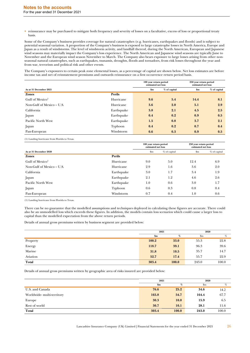• reinsurance may be purchased to mitigate both frequency and severity of losses on a facultative, excess of loss or proportional treaty basis.

Some of the Company's business provides coverage for natural catastrophes (e.g. hurricanes, earthquakes and floods) and is subject to potential seasonal variation. A proportion of the Company's business is exposed to large catastrophe losses in North America, Europe and Japan as a result of windstorms. The level of windstorm activity, and landfall thereof, during the North American, European and Japanese wind seasons may materially impact the Company's loss experience. The North American and Japanese wind seasons are typically June to November and the European wind season November to March. The Company also bears exposure to large losses arising from other nonseasonal natural catastrophes, such as earthquakes, tsunamis, droughts, floods and tornadoes, from risk losses throughout the year and from war, terrorism and political risk and other events.

The Company's exposures to certain peak zone elemental losses, as a percentage of capital are shown below. Net loss estimates are before income tax and net of reinstatement premiums and outwards reinsurance on a first occurrence return period basis.

|                             |            | 100 year return period<br>estimated net loss |              | 250 year return period<br>estimated net loss |              |
|-----------------------------|------------|----------------------------------------------|--------------|----------------------------------------------|--------------|
| As at 31 December 2021      |            | \$m\$                                        | % of capital | \$m                                          | % of capital |
| <b>Zones</b>                | Perils     |                                              |              |                                              |              |
| Gulf of Mexico <sup>1</sup> | Hurricane  | 9.6                                          | 5.4          | 14.4                                         | 8.1          |
| Non-Gulf of Mexico – U.S.   | Hurricane  | 3.6                                          | 2.0          | 5.1                                          | 2.9          |
| California                  | Earthquake | 3.8                                          | 2.1          | 4.5                                          | 2.5          |
| Japan                       | Earthquake | 0.4                                          | 0.2          | 0.9                                          | 0.5          |
| Pacific North West          | Earthquake | 1.5                                          | 0.8          | 3.7                                          | 2.1          |
| Japan                       | Typhoon    | 0.4                                          | 0.2          | 0.7                                          | 0.4          |
| Pan-European                | Windstorm  | 0.6                                          | 0.3          | 0.9                                          | 0.5          |

(1) Landing hurricane from Florida to Texas.

|                           |            | 100 year return period<br>estimated net loss |              | 250 year return period<br>estimated net loss |              |
|---------------------------|------------|----------------------------------------------|--------------|----------------------------------------------|--------------|
| As at 31 December 2020    |            | $\mathbf{S}_{\mathbf{m}}$                    | % of capital | $\mathbf{Sm}$                                | % of capital |
| <b>Zones</b>              | Perils     |                                              |              |                                              |              |
| Gulf of $Mexico1$         | Hurricane  | 9.0                                          | 5.0          | 12.4                                         | 6.9          |
| Non-Gulf of Mexico – U.S. | Hurricane  | 2.9                                          | 1.6          | 3.6                                          | 2.0          |
| California                | Earthquake | 3.0                                          | 1.7          | 3.4                                          | 1.9          |
| Japan                     | Earthquake | 2.1                                          | 1.2          | 4.6                                          | 2.6          |
| Pacific North West        | Earthquake | 1.0                                          | 0.6          | 3.0                                          | 1.7          |
| Japan                     | Typhoon    | 0.6                                          | 0.3          | 0.8                                          | 0.4          |
| Pan-European              | Windstorm  | 0.7                                          | 0.4          | 1.0                                          | 0.6          |

(1) Landing hurricane from Florida to Texas.

There can be no guarantee that the modelled assumptions and techniques deployed in calculating these figures are accurate. There could also be an unmodelled loss which exceeds these figures. In addition, the models contain loss scenarios which could cause a larger loss to capital than the modelled expectation from the above return periods.

Details of annual gross premiums written by business segment are provided below:

|          | 2021  |       | 2020           |       |
|----------|-------|-------|----------------|-------|
|          | \$m\$ | %     | $\mathbf{\$m}$ | %     |
| Property | 100.2 | 33.0  | 55.3           | 22.8  |
| Energy   | 118.7 | 39.1  | 96.3           | 39.6  |
| Marine   | 31.8  | 10.5  | 35.7           | 14.7  |
| Aviation | 52.7  | 17.4  | 55.7           | 22.9  |
| Total    | 303.4 | 100.0 | 243.0          | 100.0 |

Details of annual gross premiums written by geographic area of risks insured are provided below:

|                           | 2021  |       | 2020           |       |
|---------------------------|-------|-------|----------------|-------|
|                           | \$m   | %     | $\mathbf{\$m}$ | %     |
| U.S. and Canada           | 76.6  | 25.2  | 34.6           | 14.2  |
| Worldwide-multi-territory | 165.8 | 54.7  | 164.4          | 67.7  |
| Europe                    | 30.3  | 10.0  | 15.9           | 6.5   |
| Rest of world             | 30.7  | 10.1  | 28.1           | 11.6  |
| Total                     | 303.4 | 100.0 | 243.0          | 100.0 |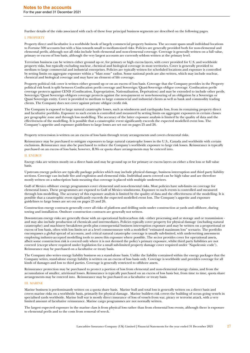Further details of the risks associated with each of these four principal business segments are described on the following pages.

### I. PROPERTY

Property direct and facultative is a worldwide book of largely commercial property business. The account spans small individual locations to Fortune 500 accounts but with a bias towards small to medium-sized risks. Policies are generally provided both for non-elemental and elemental perils, although not all risks include both elemental and non-elemental coverage. Coverage is generally written on a full value, primary or excess of loss basis, although the very largest accounts are currently seldom written at the primary level.

Terrorism business can be written either ground up or, for primary or high excess layers, with cover provided for U.S. and worldwide property risks, but typically excluding nuclear, chemical and biological coverage in most territories. Cover is generally provided to medium to large commercial and industrial enterprises. Policies are typically written for scheduled locations and exposure is controlled by setting limits on aggregate exposure within a "blast zone" radius. Some national pools are also written, which may include nuclear, chemical and biological coverage and may have an element of life coverage.

Property political risk cover is written either ground up or on an excess of loss basis. Coverage that the Company provides in the Property political risk book is split between Confiscation perils coverage and Sovereign/Quasi-Sovereign obligor coverage. Confiscation perils coverage protects against CEND (Confiscation, Expropriation, Nationalisation, Deprivation) and may be extended to include other perils. Sovereign/Quasi Sovereign obligors coverage protects against the non-payment or non-honouring of an obligation by a Sovereign or Quasi Sovereign entity. Cover is provided to medium to large commercial and industrial clients as well as bank and commodity trading clients. The Company does not cover against private obligor credit risk.

The Company is exposed to large natural catastrophe losses, such as windstorm and earthquake loss, from its remaining property direct and facultative portfolio. Exposure to such events is controlled and measured by setting limits on aggregate exposures in certain classes per geographic zone and through loss modelling. The accuracy of the latter exposure analysis is limited by the quality of data and the effectiveness of the modelling. It is possible that a catastrophic event significantly exceeds the expected modelled event loss. The Company's appetite and exposure guidelines to large losses are set out on pages 25 and 26.

Property retrocession is written on an excess of loss basis through treaty arrangements and covers elemental risks.

Reinsurance may be purchased to mitigate exposures to large natural catastrophe losses in the U.S., Canada and worldwide with certain exclusions. Reinsurance may also be purchased to reduce the Company's worldwide exposure to large risk losses. Reinsurance is typically purchased on an excess of loss basis; however, ILWs or quota share arrangements may be entered into.

### II. ENERGY

Energy risks are written mostly on a direct basis and may be ground up or for primary or excess layers on either a first loss or full value basis.

Upstream energy policies are typically package policies which may include physical damage, business interruption and third party liability sections. Coverage can include fire and explosion and elemental risks. Individual assets covered can be high value and are therefore mostly written on a subscription basis meaning that coverage is placed with multiple underwriters.

Gulf of Mexico offshore energy programmes cover elemental and non-elemental risks. Most policies have sub-limits on coverage for elemental losses. These programmes are exposed to Gulf of Mexico windstorms. Exposure to such events is controlled and measured through loss modelling. The accuracy of this exposure analysis is limited by the quality of data and the effectiveness of the modelling. It is possible that a catastrophic event significantly exceeds the expected modelled event loss. The Company's appetite and exposure guidelines to large losses are set out on pages 25 and 26.

Construction energy contracts generally cover all risks of platform and drilling units under construction at yards and offshore, during towing and installation. Onshore construction contracts are generally not written.

Downstream energy risks are generally those with an operational hydrocarbon risk - either processing and or storage and or transmission and may also include production of chemicals and intermediates. Policies typically cover property for physical damage (including natural catastrophe) and machinery breakdown perils plus consequential business interruption exposure and may be written on a proportional or excess of loss basis, often with loss limits set at a level commensurate with a modelled "estimated maximum loss" scenario. The portfolio encompasses a global spread of accounts, and critical natural catastrophe coverage is usually sub-limited, with underwriting assessment employing industry-accepted modelling tools to assess this exposure where possible. The sector provides cover for operational assets, albeit some construction risk is covered only where it is not deemed the policy's primary exposure, whilst third party liabilities are not covered (except where required under legislation for a small sub-limited property damage cover required under 'Napoleonic code'). Reinsurance may be purchased on a facultative or treaty basis.

The Company also writes energy liability business on a stand-alone basis. Unlike the liability contained within the energy packages that the Company writes, stand-alone energy liability is written on an excess of loss basis only. Coverage is worldwide and provides coverage for all kinds of damages and loss to third parties. Coverage is generally restricted to offshore assets.

Reinsurance protection may be purchased to protect a portion of loss from elemental and non-elemental energy claims, and from the accumulation of smaller, attritional losses. Reinsurance is typically purchased on an excess of loss basis but, from time to time, quota share arrangements may be entered into. Reinsurance may be purchased on a facultative or treaty basis.

### III. MARINE

Marine business is predominantly written on a quota share basis. Marine hull and total loss is generally written on a direct basis and covers marine risks on a worldwide basis, primarily for physical damage. Marine builders risk covers the building of ocean going vessels in specialised yards worldwide. Marine hull war is mostly direct insurance of loss of vessels from war, piracy or terrorist attack, with a very limited amount of facultative reinsurance. Marine cargo programmes are not normally written.

The largest expected exposure in the marine class is from physical loss rather than from elemental loss events, although there is exposure to elemental perils and to the costs from removal of wreck.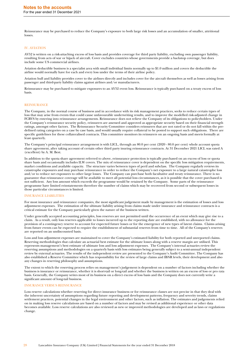Reinsurance may be purchased to reduce the Company's exposure to both large risk losses and an accumulation of smaller, attritional losses.

### IV. AVIATION

AV52 is written on a risk-attaching excess of loss basis and provides coverage for third party liability, excluding own passenger liability, resulting from acts of war or hijack of aircraft. Cover excludes countries whose governments provide a backstop coverage, but does include some US commercial airlines.

Aviation deductible business is a specialist area with small individual limits normally up to \$1.0 million and covers the deductible the airline would normally have for each and every loss under the terms of their airline policy.

Aviation hull and liability provides cover to the airlines directly and includes cover for the aircraft themselves as well as losses arising from passenger and third-party liability claims against airlines and/or manufacturers.

Reinsurance may be purchased to mitigate exposures to an AV52 event loss. Reinsurance is typically purchased on a treaty excess of loss basis.

### REINSURANCE

The Company, in the normal course of business and in accordance with its risk management practices, seeks to reduce certain types of loss that may arise from events that could cause unfavourable underwriting results, and to improve the modelled risk-adjusted change in FCBVS by entering into reinsurance arrangements. Reinsurance does not relieve the Company of its obligations to policyholders. Under the Company's reinsurance security policy, reinsurers are assessed and approved as appropriate security based on their financial strength ratings, amongst other factors. The Reinsurance Security Committee considers reinsurers that are not rated or do not fall within the predefined rating categories on a case by case basis, and would usually require collateral to be posted to support such obligations. There are specific guidelines for these collateralised contracts. This committee monitors its reinsurers on an ongoing basis and meets formally at least quarterly.

The Company's principal reinsurance arrangement is with LICL, through an 80.0 per cent (2020 - 80.0 per cent) whole account quota share agreement, after taking account of certain other third party inuring reinsurance contracts. At 31 December 2021 LICL was rated A (excellent) by A. M. Best.

In addition to the quota share agreement referred to above, reinsurance protection is typically purchased on an excess of loss or quota share basis and occasionally includes ILW covers. The mix of reinsurance cover is dependent on the specific loss mitigation requirements, market conditions and available capacity. The structure varies between types of peril and subclass. The Company regularly reviews its catastrophe exposures and may purchase reinsurance in order to reduce the Company's net exposure to a large natural catastrophe loss and/or to reduce net exposures to other large losses. The Company can purchase both facultative and treaty reinsurance. There is no guarantee that reinsurance coverage will be available to meet all potential loss circumstances, as it is possible that the cover purchased is not sufficient. Any loss amount which exceeds the programme would be retained by the Company. Some parts of the reinsurance programme have limited reinstatements therefore the number of claims which may be recovered from second or subsequent losses in those particular circumstances is limited.

### INSURANCE LIABILITIES

For most insurance and reinsurance companies, the most significant judgement made by management is the estimation of losses and loss adjustment expenses. The estimation of the ultimate liability arising from claims made under insurance and reinsurance contracts is a critical estimate for the Company particularly given the nature of the business written.

Under generally accepted accounting principles, loss reserves are not permitted until the occurrence of an event which may give rise to a claim. As a result, only loss reserves applicable to losses incurred up to the reporting date are established, with no allowance for the provision of a contingency reserve to account for expected future losses or for the emergence of new types of latent claims. Claims arising from future events can be expected to require the establishment of substantial reserves from time to time. All of the Company's reserves are reported on an undiscounted basis.

Loss and loss adjustment expenses are maintained to cover the Company's estimated liability for both reported and unreported claims. Reserving methodologies that calculate an actuarial best estimate for the ultimate losses along with a reserve margin are utilised. This represents management's best estimate of ultimate loss and loss adjustment expenses. The Company's internal actuaries review the reserving assumptions and methodologies on a quarterly basis with loss estimates being generally subject to a semi-annual independent review by external actuaries. The results of the independent review are presented to the Company's Audit Committee. The Company has also established a Reserve Committee which has responsibility for the review of large claims and IBNR levels, their development and also any changes in reserving philosophy and assumptions.

The extent to which the reserving process relies on management's judgement is dependent on a number of factors including whether the business is insurance or reinsurance, whether it is short-tail or long-tail and whether the business is written on an excess of loss or pro rata basis. Generally, the Company writes most of its business on a direct excess of loss basis and the Company does not currently write a significant amount of long-tail business.

### INSURANCE VERSUS REINSURANCE

Loss reserve calculations whether reserving for direct insurance business or for reinsurance classes are not precise in that they deal with the inherent uncertainty of assumptions regarding future reporting and development patterns, frequency and severity trends, claims settlement practices, potential changes in the legal environment and other factors, such as inflation. The estimates and judgements relied on in making loss reserve calculations are based on a number of factors and may be revised as additional experience or other data becomes available. Loss reserve calculations are also reviewed as new or improved methodologies are developed and as laws or regulations change.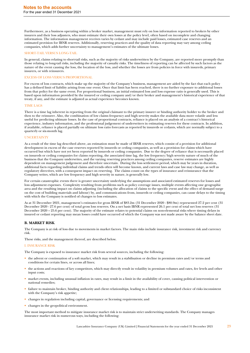Furthermore, as a business operating within a broker market, management must rely on loss information reported to brokers by other insurers and their loss adjusters, who must estimate their own losses at the policy level, often based on incomplete and changing information. The information management receives varies by cedant and may include paid losses, estimated case reserves and an estimated provision for IBNR reserves. Additionally, reserving practices and the quality of data reporting may vary among ceding companies, which adds further uncertainty to management's estimates of the ultimate losses.

### SHORT-TAIL VERSUS LONG-TAIL

In general, claims relating to short-tail risks, such as the majority of risks underwritten by the Company, are reported more promptly than those relating to long-tail risks, including the majority of casualty risks. The timeliness of reporting can be affected by such factors as the nature of the event causing the loss, the location of the loss, and whether the losses are from policies in force with insureds, primary insurers, or with reinsurers.

### EXCESS OF LOSS VERSUS PROPORTIONAL

For excess of loss contracts, which make up the majority of the Company's business, management are aided by the fact that each policy has a defined limit of liability arising from one event. Once that limit has been reached, there is no further exposure to additional losses from that policy for the same event. For proportional business, an initial estimated loss and loss expense ratio is generally used. This is based upon information provided by the insured or ceding company and/or their broker and management's historical experience of that treaty, if any, and the estimate is adjusted as actual experience becomes known.

### TIME LACS

There is a time lag inherent in reporting from the original claimant to the primary insurer or binding authority holder to the broker and then to the reinsurer. Also, the combination of low claims frequency and high severity makes the available data more volatile and less useful for predicting ultimate losses. In the case of proportional contracts, reliance is placed on an analysis of a contract's historical experience, industry information, and the professional judgement of underwriters in estimating reserves for these contracts. In addition, if available, reliance is placed partially on ultimate loss ratio forecasts as reported by insureds or cedants, which are normally subject to a quarterly or six-month lag.

### UNCERTAINTY

As a result of the time lag described above, an estimation must be made of IBNR reserves, which consist of a provision for additional development in excess of the case reserves reported by insureds or ceding companies, as well as a provision for claims which have occurred but which have not yet been reported by insureds or ceding companies. Due to the degree of reliance that is necessarily placed on insureds or ceding companies for claims reporting, the associated time lag, the low frequency/high severity nature of much of the business that the Company underwrites, and the varying reserving practices among ceding companies, reserve estimates are highly dependent on management judgement and therefore uncertain. During the loss settlement period, which may be years in duration, additional facts regarding individual claims and trends often will become known, and current laws and case law may change, as well as regulatory directives, with a consequent impact on reserving. The claims count on the types of insurance and reinsurance that the Company writes, which are low frequency and high severity in nature, is generally low.

For certain catastrophic events there is greater uncertainty underlying the assumptions and associated estimated reserves for losses and loss adjustment expenses. Complexity resulting from problems such as policy coverage issues, multiple events affecting one geographic area and the resulting impact on claims adjusting (including the allocation of claims to the specific event and the effect of demand surge on the cost of building materials and labour) by, and communications from, insureds or ceding companies, can cause delays to the timing with which the Company is notified of changes to loss estimates.

As at 31 December 2021, management's estimates for gross IBNR of \$83.2m (31 December 2020 - \$80.9m) represented 27.2 per cent (31 December 2020 - 27.6 per cent) of total gross loss reserves. On a net basis IBNR represented 26.1 per cent of total net loss reserves (31 December 2020 – 25.6 per cent). The majority of the estimate relates to potential claims on non-elemental risks where timing delays in insured or cedant reporting may mean losses could have occurred of which the Company was not made aware by the balance sheet date.

### **B. MARKET RISK**

The Company is at risk of loss due to movements in market factors. The main risks include insurance risk, investment risk and currency risk.

These risks, and the management thereof, are described below.

### I. INSURANCE RISK

The Company is exposed to insurance market risk from several sources, including the following:

- the advent or continuation of a soft market, which may result in a stabilisation or decline in premium rates and/or terms and conditions for certain lines, or across all lines;
- the actions and reactions of key competitors, which may directly result in volatility in premium volumes and rates, fee levels and other input costs;
- market events, including unusual inflation in rates, may result in a limit in the availability of cover, causing political intervention or national remedies;
- failure to maintain broker, binding authority and client relationships, leading to a limited or substandard choice of risks inconsistent with the Company's risk appetite;
- changes in regulation including capital, governance or licensing requirements; and
- changes in the geopolitical environment.

The most important method to mitigate insurance market risk is to maintain strict underwriting standards. The Company manages insurance market risk in numerous ways, including the following: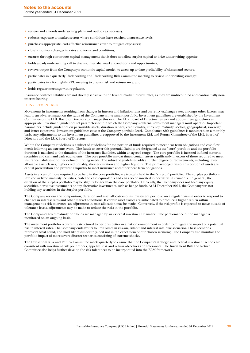- reviews and amends underwriting plans and outlook as necessary;
- reduces exposure to market sectors where conditions have reached unattractive levels:
- purchases appropriate, cost-effective reinsurance cover to mitigate exposures;
- closely monitors changes in rates and terms and conditions;
- ensures through continuous capital management that it does not allow surplus capital to drive underwriting appetite;
- holds a daily underwriting call to discuss, inter alia, market conditions and opportunities;
- reviews output from the Company's economic capital model, to assess up-to-date profitability of classes and sectors;
- participates in a quarterly Underwriting and Underwriting Risk Committee meeting to review underwriting strategy;
- participates in a fortnightly RRC meeting to discuss risk and reinsurance; and
- holds regular meetings with regulators.

Insurance contract liabilities are not directly sensitive to the level of market interest rates, as they are undiscounted and contractually noninterest bearing.

### II. INVESTMENT RISK

Movements in investments resulting from changes in interest and inflation rates and currency exchange rates, amongst other factors, may lead to an adverse impact on the value of the Company's investment portfolio. Investment guidelines are established by the Investment Committee of the LHL Board of Directors to manage this risk. The LUK Board of Directors reviews and adopts these guidelines as appropriate. Investment guidelines set parameters within which the Company's external investment managers must operate. Important parameters include guidelines on permissible assets, duration ranges, credit quality, currency, maturity, sectors, geographical, sovereign and issuer exposures. Investment guidelines exist at the Company portfolio level. Compliance with guidelines is monitored on a monthly basis. Any adjustments to the investment guidelines are approved by the Investment Risk and Return Committee of the LHL Board of Directors and the LUK Board of Directors.

Within the Company guidelines is a subset of guidelines for the portion of funds required to meet near term obligations and cash flow needs following an extreme event. The funds to cover this potential liability are designated as the "core" portfolio and the portfolio duration is matched to the duration of the insurance liabilities, within an agreed range. The core portfolio is invested in fixed maturity securities and cash and cash equivalents. The core portfolio may, at times, contain assets significantly in excess of those required to meet insurance liabilities or other defined funding needs. The subset of guidelines adds a further degree of requirements, including fewer allowable asset classes, higher credit quality, shorter duration and higher liquidity. The primary objectives of this portion of assets are capital preservation and providing liquidity to meet insurance and other near term obligations.

Assets in excess of those required to be held in the core portfolio, are typically held in the "surplus" portfolio. The surplus portfolio is invested in fixed maturity securities, cash and cash equivalents and can also be invested in derivative instruments. In general, the duration of the surplus portfolio may be slightly longer than the core portfolio. Currently, the Company does not hold any equity securities, derivative instruments or any alternative investments, such as hedge funds. At 31 December 2021, the Company was not holding any securities in the Surplus portfolio.

The Company reviews the composition, duration and asset allocation of its investment portfolio on a regular basis in order to respond to changes in interest rates and other market conditions. If certain asset classes are anticipated to produce a higher return within management's risk tolerance, an adjustment in asset allocation may be made. Conversely, if the risk profile is expected to move outside of tolerance levels, adjustments may be made to reduce the risks in the portfolio.

The Company's fixed maturity portfolios are managed by an external investment manager. The performance of the manager is monitored on an ongoing basis.

The investment portfolio is currently structured to perform better in a risk-on environment in order to mitigate the impact of a potential rise in interest rates. The Company endeavours to limit losses in risk-on, risk-off and interest rate hike scenarios. These scenarios represent what could, and most likely will occur (albeit not in the exact form of our chosen scenario). The Company also monitors the portfolio impact of more severe disaster scenarios consisting of extreme shocks.

The Investment Risk and Return Committee meets quarterly to ensure that the Company's strategic and tactical investment actions are consistent with investment risk preferences, appetite, risk and return objectives and tolerances. The Investment Risk and Return Committee also helps further develop the risk tolerances to be incorporated into the ERM framework.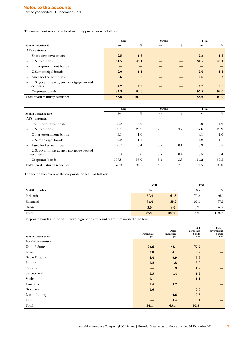The investment mix of the fixed maturity portfolios is as follows:

|                                                      |       | Core  |     |      | Total |       |
|------------------------------------------------------|-------|-------|-----|------|-------|-------|
| As at 31 December 2021                               | \$m   | %     | \$m | $\%$ | \$m   | %     |
| AFS - external                                       |       |       |     |      |       |       |
| Short term investments                               | 2.5   | 1.3   |     |      | 2.5   | 1.3   |
| U.S. treasuries                                      | 81.5  | 43.1  |     |      | 81.5  | 43.1  |
| - Other government bonds                             |       |       |     |      |       |       |
| - U.S. municipal bonds                               | 2.0   | 1.1   |     |      | 2.0   | 1.1   |
| Asset backed securities                              | 0.6   | 0.3   |     |      | 0.6   | 0.3   |
| U.S. government agency mortgage backed<br>securities | 4.2   | 2.2   |     |      | 4.2   | 2.2   |
| - Corporate bonds                                    | 97.8  | 52.0  |     |      | 97.8  | 52.0  |
| Total fixed maturity securities                      | 188.6 | 100.0 |     |      | 188.6 | 100.0 |

|                                                        | Core                      |      | <b>Surplus</b> |     | Total       |         |
|--------------------------------------------------------|---------------------------|------|----------------|-----|-------------|---------|
| As at 31 December 2020                                 | $\mathbf{S}_{\mathbf{m}}$ | %    | $\mathbf{Sm}$  | %   | $_{\rm sm}$ | %       |
| AFS - external                                         |                           |      |                |     |             |         |
| - Short term investments                               | 8.0                       | 4.2  |                |     | 8.0         | 4.2     |
| - U.S. treasuries                                      | 50.4                      | 26.2 | 7.2            | 3.7 | 57.6        | 29.9    |
| - Other government bonds                               | 3.1                       | 1.6  |                |     | 3.1         | $1.6\,$ |
| U.S. municipal bonds                                   | 2.2                       | 1.1  |                |     | 2.2         | 1.1     |
| Asset backed securities                                | 0.7                       | 0.4  | 0.2            | 0.1 | 0.9         | 0.5     |
| - U.S. government agency mortgage backed<br>securities | 5.8                       | 3.0  | 0.7            | 0.4 | 6.5         | 3.4     |
| Corporate bonds                                        | 107.8                     | 56.0 | 6.4            | 3.3 | 114.2       | 59.3    |
| <b>Total fixed maturity securities</b>                 | 178.0                     | 92.5 | 14.5           | 7.5 | 192.5       | 100.0   |

The sector allocation of the corporate bonds is as follows:

|                   | 2021           |       | 2020  |       |  |
|-------------------|----------------|-------|-------|-------|--|
| As at 31 December | $\mathbf{\$m}$ | %     | \$m   | %     |  |
| Industrial        | 60.4           | 61.8  | 70.5  | 56.1  |  |
| Financial         | 34.4           | 35.2  | 37.5  | 37.9  |  |
| Utility           | 3.0            | 3.0   | 6.2   | 6.0   |  |
| Total             | 97.8           | 100.0 | 114.2 | 100.0 |  |

Corporate bonds and non-U.S. sovereign bonds by country are summarised as follows:

| As at 31 December 2021 | Financials<br>\$m\$ | Other<br>industries<br>\$m\$ | Total<br>corporate<br>bonds<br>\$m\$ | Other<br>government<br>bonds<br>\$m\$ |
|------------------------|---------------------|------------------------------|--------------------------------------|---------------------------------------|
| Bonds by country       |                     |                              |                                      |                                       |
| <b>United States</b>   | 25.6                | 52.1                         | 77.7                                 |                                       |
| Japan                  | 2.8                 | 4.1                          | 6.9                                  |                                       |
| <b>Great Britain</b>   | 2.4                 | 0.9                          | 3.3                                  |                                       |
| France                 | 1.2                 | 1.8                          | 3.0                                  |                                       |
| Canada                 |                     | 1.9                          | 1.9                                  |                                       |
| Switzerland            | 0.3                 | 1.4                          | 1.7                                  |                                       |
| Spain                  | 1.1                 |                              | 1.1                                  |                                       |
| Australia              | 0.4                 | 0.2                          | 0.6                                  | $\qquad \qquad -$                     |
| Germany                | 0.6                 |                              | 0.6                                  |                                       |
| Luxembourg             |                     | 0.6                          | 0.6                                  |                                       |
| Italy                  |                     | 0.4                          | 0.4                                  |                                       |
| Total                  | 34.4                | 63.4                         | 97.8                                 |                                       |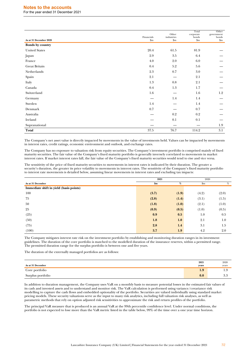# **Notes to the accounts**

For the year ended 31 December 2021

| As at 31 December 2020 | Financials<br>$\mathbf{Sm}$ | Other<br>industries<br>$\mathbf{Sm}$ | Total<br>corporate<br>bonds<br>\$m\$ | Other<br>government<br>bonds<br>$\mathop{\mathrm{Sm}}$ |
|------------------------|-----------------------------|--------------------------------------|--------------------------------------|--------------------------------------------------------|
| Bonds by country       |                             |                                      |                                      |                                                        |
| <b>United States</b>   | 20.4                        | 61.5                                 | 81.9                                 |                                                        |
| Japan                  | 2.9                         | 3.5                                  | 6.4                                  |                                                        |
| France                 | 4.0                         | 2.0                                  | 6.0                                  |                                                        |
| Great Britain          | 0.4                         | 5.2                                  | 5.6                                  |                                                        |
| Netherlands            | $2.3\,$                     | 0.7                                  | 3.0                                  |                                                        |
| Spain                  | 2.1                         |                                      | 2.1                                  |                                                        |
| Italy                  | 1.3                         | $0.8\,$                              | 2.1                                  |                                                        |
| Canada                 | $0.4\,$                     | 1.3                                  | 1.7                                  |                                                        |
| Switzerland            | 1.6                         |                                      | 1.6                                  | 1.2                                                    |
| Germany                |                             | 1.4                                  | 1.4                                  |                                                        |
| Sweden                 | 1.4                         |                                      | 1.4                                  |                                                        |
| Denmark                | 0.7                         |                                      | 0.7                                  |                                                        |
| Australia              |                             | 0.2                                  | 0.2                                  |                                                        |
| Ireland                |                             | $0.1\,$                              | 0.1                                  |                                                        |
| Supranational          |                             |                                      |                                      | 1.9                                                    |
| Total                  | 37.5                        | 76.7                                 | 114.2                                | 3.1                                                    |

The Company's net asset value is directly impacted by movements in the value of investments held. Values can be impacted by movements in interest rates, credit ratings, economic environment and outlook, and exchange rates.

The Company has no exposure to valuation risk from equity securities. The Company's investment portfolio is comprised mainly of fixed maturity securities. The fair value of the Company's fixed maturity portfolio is generally inversely correlated to movements in market interest rates. If market interest rates fall, the fair value of the Company's fixed maturity securities would tend to rise and vice versa.

The sensitivity of the price of fixed maturity securities to movements in interest rates is indicated by their duration. The greater a security's duration, the greater its price volatility to movements in interest rates. The sensitivity of the Company's fixed maturity portfolio to interest rate movements is detailed below, assuming linear movements in interest rates and excluding tax impacts:

|                                         | 2021           |       | 2020    |         |  |
|-----------------------------------------|----------------|-------|---------|---------|--|
| As at 31 December                       | $\mathbf{\$m}$ | $\%$  | \$m\$   | $\%$    |  |
| Immediate shift in yield (basis points) |                |       |         |         |  |
| 100                                     | (3.7)          | (1.9) | (4.2)   | (2.0)   |  |
| 75                                      | (2.8)          | (1.4) | (3.1)   | (1.5)   |  |
| 50                                      | (1.8)          | (1.0) | (2.1)   | (1.0)   |  |
| 25                                      | (0.9)          | (0.5) | (1.0)   | (0.5)   |  |
| (25)                                    | 0.9            | 0.5   | $1.0\,$ | 0.5     |  |
| (50)                                    | 1.8            | 1.0   | 2.1     | $1.0\,$ |  |
| (75)                                    | 2.8            | 1.4   | 3.1     | 1.5     |  |
| (100)                                   | 3.7            | 1.9   | 4.2     | 2.0     |  |

The Company mitigates interest rate risk on the investment portfolio by establishing and monitoring duration ranges in its investment guidelines. The duration of the core portfolio is matched to the modelled duration of the insurance reserves, within a permitted range. The permitted duration range for the surplus portfolio is between one and five years.

The duration of the externally managed portfolios are as follows:

| As at 31 December | 2021<br>vears | 2020<br>vears                          |
|-------------------|---------------|----------------------------------------|
| Core portfolio    | 1.9           | سيد                                    |
| Surplus portfolio | 0.0           | $\Omega$<br>$\mathfrak{I}.\mathcal{C}$ |

In addition to duration management, the Company uses VaR on a monthly basis to measure potential losses in the estimated fair values of its cash and invested assets and to understand and monitor risk. The VaR calculation is performed using variance/covariance risk modelling to capture the cash flows and embedded optionality of the portfolio. Securities are valued individually using standard market pricing models. These security valuations serve as the input to many risk analytics, including full valuation risk analyses, as well as parametric methods that rely on option adjusted risk sensitivities to approximate the risk and return profiles of the portfolio.

The principal VaR measure that is produced is an annual VaR at the 99th percentile confidence level. Under normal conditions, the portfolio is not expected to lose more than the VaR metric listed in the table below, 99% of the time over a one year time horizon.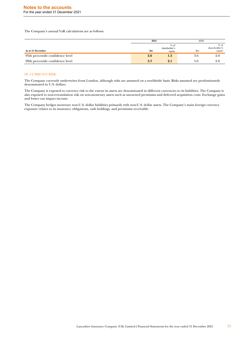The Company's annual VaR calculations are as follows:

|                                  | 2021 |                                   | 2020           |                                   |
|----------------------------------|------|-----------------------------------|----------------|-----------------------------------|
| As at 31 December                | \$m  | $%$ of<br>shareholder's<br>equity | $\mathfrak{m}$ | $%$ of<br>shareholder's<br>equity |
| 95th percentile confidence level | 2.6  | $1.5\,$                           | э.c            | 2.0                               |
| 99th percentile confidence level | 3.7  | 2.1                               |                | 2.8                               |

### III. CURRENCY RISK

The Company currently underwrites from London, although risks are assumed on a worldwide basis. Risks assumed are predominantly denominated in U.S. dollars.

The Company is exposed to currency risk to the extent its assets are denominated in different currencies to its liabilities. The Company is also exposed to non-retranslation risk on non-monetary assets such as unearned premiums and deferred acquisition costs. Exchange gains and losses can impact income.

The Company hedges monetary non-U.S. dollar liabilities primarily with non-U.S. dollar assets. The Company's main foreign currency exposure relates to its insurance obligations, cash holdings, and premiums receivable.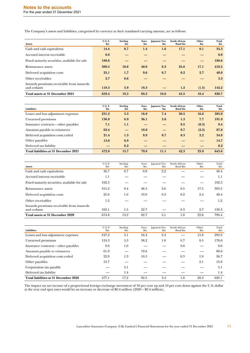The Company's assets and liabilities, categorised by currency at their translated carrying amount, are as follows:

| <b>Assets</b>                                            | $U.S.$ \$<br>Sm | <b>Sterling</b><br>Sm | Euro<br>Sm | Japanese Yen<br>$\mathbf{Sm}$ | <b>South African</b><br>Rand \$m | Other<br>$\mathbf{Sm}$ | Total<br>\$m |
|----------------------------------------------------------|-----------------|-----------------------|------------|-------------------------------|----------------------------------|------------------------|--------------|
| Cash and cash equivalents                                | 14.4            | 0.7                   | 1.4        | 1.6                           | 17.1                             | 0.1                    | 35.3         |
| Accrued interest receivable                              | 0.8             |                       |            |                               |                                  |                        | 0.8          |
| Fixed maturity securities, available for sale            | 188.6           |                       |            |                               |                                  |                        | 188.6        |
| Reinsurance assets                                       | 309.5           | 10.6                  | 40.0       | 8.3                           | 25.0                             | 17.1                   | 410.5        |
| Deferred acquisition costs                               | 25.1            | 1.7                   | 9.6        | 0.7                           | 0.2                              | 2.7                    | 40.0         |
| Other receivables                                        | 2.7             | 0.6                   |            |                               |                                  |                        | <b>3.3</b>   |
| Inwards premiums receivable from insureds<br>and cedants | 118.3           | 5.9                   | 18.3       |                               | 1.2                              | (1.5)                  | 142.2        |
| Total assets at 31 December 2021                         | 659.4           | 19.5                  | 69.3       | 10.6                          | 43.5                             | 18.4                   | 820.7        |

| <b>Liabilities</b>                    | <b>U.S. \$</b><br>$\mathbf{Sm}$ | <b>Sterling</b><br>$\mathbf{Sm}$ | Euro<br>$\mathbf{Sm}$ | Japanese Yen<br>$\mathbf{Sm}$ | <b>South African</b><br>Rand \$m | Other<br>$\mathbf{Sm}$ | Total<br>\$m |
|---------------------------------------|---------------------------------|----------------------------------|-----------------------|-------------------------------|----------------------------------|------------------------|--------------|
| Losses and loss adjustment expenses   | 231.2                           | 3.3                              | 16.8                  | 7.4                           | 30.5                             | 16.6                   | 305.8        |
| Unearned premiums                     | 136.9                           | 6.9                              | 36.1                  | 3.0                           | 1.3                              | 7.7                    | 191.9        |
| Insurance contracts – other payables  | 7.1                             | 1.1                              |                       |                               | 0.5                              | (0.3)                  | 8.4          |
| Amounts payable to reinsurers         | 62.4                            |                                  | <b>18.0</b>           |                               | 9.7                              | (2.3)                  | 87.8         |
| Deferred acquisition costs ceded      | 21.4                            | 1.3                              | 8.9                   | 0.7                           | 0.3                              | 2.2                    | 34.8         |
| Other payables                        | 13.8                            | 0.9                              |                       |                               |                                  |                        | 14.7         |
| Deferred tax liability                |                                 | 0.2                              |                       |                               |                                  |                        | 0.2          |
| Total liabilities at 31 December 2021 | 472.8                           | 13.7                             | 79.8                  | 11.1                          | 42.3                             | 23.9                   | 643.6        |

| <b>Assets</b>                                            | $U.S.$ \$<br>$_{\rm Sm}$ | Sterling<br>$_{\rm sm}$ | Euro<br>$_{\rm sm}$ | Japanese Yen<br>$_{\rm sm}$ | South African<br>Rand \$m | Other<br>$\mathbf{Sm}$ | Total<br>$\mathbf{S}$ m |
|----------------------------------------------------------|--------------------------|-------------------------|---------------------|-----------------------------|---------------------------|------------------------|-------------------------|
| Cash and cash equivalents                                | 36.7                     | 0.7                     | 0.8                 | 2.2                         |                           |                        | 40.4                    |
| Accrued interest receivable                              | 1.1                      |                         |                     |                             |                           |                        | 1.1                     |
| Fixed maturity securities, available for sale            | 192.5                    |                         |                     |                             |                           |                        | 192.5                   |
| Reinsurance assets                                       | 315.2                    | 9.4                     | 48.3                | 2.6                         | 0.5                       | 17.5                   | 393.5                   |
| Deferred acquisition costs                               | 25.0                     | 1.6                     | 10.9                | 0.3                         | 0.2                       | 2.4                    | 40.4                    |
| Other receivables                                        | 1.2                      |                         |                     |                             |                           |                        | 1.2                     |
| Inwards premiums receivable from insureds<br>and cedants | 103.1                    | 1.5                     | 22.7                |                             | 0.3                       | 2.7                    | 130.3                   |
| Total assets at 31 December 2020                         | 674.8                    | 13.2                    | 82.7                | 5.1                         | 1.0                       | 22.6                   | 799.4                   |

| <b>Liabilities</b>                    | <b>U.S. \$</b><br>$_{\rm Sm}$ | Sterling<br>$_{\rm Sm}$ | Euro<br>$_{\rm sm}$ | Japanese Yen<br>$_{\rm Sm}$ | South African<br>Rand \$m | Other<br>$_{\rm Sm}$ | Total<br>$_{\rm Sm}$ |
|---------------------------------------|-------------------------------|-------------------------|---------------------|-----------------------------|---------------------------|----------------------|----------------------|
| Losses and loss adjustment expenses   | 247.2                         | 3.1                     | 24.4                | 2.4                         |                           | 15.8                 | 292.9                |
| Unearned premiums                     | 124.3                         | 5.3                     | 38.2                | 1.0                         | 0.7                       | 8.5                  | 178.0                |
| Insurance contracts – other payables  | 8.0                           | 1.0                     |                     |                             | 0.6                       |                      | 9.6                  |
| Amounts payable to reinsurers         | 61.0                          |                         | 19.6                |                             |                           |                      | 80.6                 |
| Deferred acquisition costs ceded      | 22.9                          | 1.3                     | 10.3                |                             | 0.3                       | 1.9                  | 36.7                 |
| Other payables                        | 13.7                          |                         |                     |                             |                           | 2.1                  | 15.8                 |
| Corporation tax payable               |                               | 5.1                     |                     |                             |                           |                      | 5.1                  |
| Deferred tax liability                |                               | 1.4                     |                     |                             |                           |                      | 1.4                  |
| Total liabilities at 31 December 2020 | 477.1                         | 17.2                    | 92.5                | 3.4                         | 1.6                       | 28.3                 | 620.1                |

The impact on net income of a proportional foreign exchange movement of 10 per cent up and 10 per cent down against the U.S. dollar at the year end spot rates would be an increase or decrease of \$0.4 million (2020 – \$0.4 million).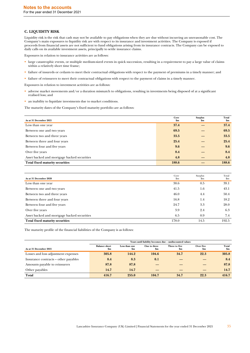# **C. LIQUIDITY RISK**

Liquidity risk is the risk that cash may not be available to pay obligations when they are due without incurring an unreasonable cost. The Company's main exposures to liquidity risk are with respect to its insurance and investment activities. The Company is exposed if proceeds from financial assets are not sufficient to fund obligations arising from its insurance contracts. The Company can be exposed to daily calls on its available investment assets, principally to settle insurance claims.

Exposures in relation to insurance activities are as follows:

- large catastrophic events, or multiple medium-sized events in quick succession, resulting in a requirement to pay a large value of claims within a relatively short time frame;
- failure of insureds or cedants to meet their contractual obligations with respect to the payment of premiums in a timely manner; and
- failure of reinsurers to meet their contractual obligations with respect to the payment of claims in a timely manner.

Exposures in relation to investment activities are as follows:

- adverse market movements and/or a duration mismatch to obligations, resulting in investments being disposed of at a significant realised loss; and
- an inability to liquidate investments due to market conditions.

The maturity dates of the Company's fixed maturity portfolio are as follows:

| As at 31 December 2021                      | Core<br>$\mathbf{Sm}$ | <b>Surplus</b><br>$\mathbf{Sm}$ | Total<br>\$m |
|---------------------------------------------|-----------------------|---------------------------------|--------------|
| Less than one year                          | 37.4                  |                                 | 37.4         |
| Between one and two years                   | 69.5                  |                                 | 69.5         |
| Between two and three years                 | 33.5                  |                                 | 33.5         |
| Between three and four years                | 25.4                  |                                 | 25.4         |
| Between four and five years                 | 9.6                   |                                 | 9.6          |
| Over five years                             | 8.4                   |                                 | 8.4          |
| Asset backed and mortgage backed securities | 4.8                   |                                 | 4.8          |
| <b>Total fixed maturity securities</b>      | 188.6                 |                                 | 188.6        |

| As at 31 December 2020                      | Core<br>$\mathbf{S}$ m | Surplus<br>$_{\rm Sm}$ | Total<br>$\mathbf{S}$ m |
|---------------------------------------------|------------------------|------------------------|-------------------------|
| Less than one year                          | 38.6                   | 0.5                    | 39.1                    |
| Between one and two years                   | 41.5                   | 1.6                    | 43.1                    |
| Between two and three years                 | 46.0                   | 4.4                    | 50.4                    |
| Between three and four years                | 16.8                   | 1.4                    | 18.2                    |
| Between four and five years                 | 24.7                   | 3.3                    | 28.0                    |
| Over five years                             | 3.9                    | 2.4                    | 6.3                     |
| Asset backed and mortgage backed securities | 6.5                    | 0.9                    | 7.4                     |
| <b>Total fixed maturity securities</b>      | 178.0                  | 14.5                   | 192.5                   |

The maturity profile of the financial liabilities of the Company is as follows:

|                                      | Years until liability becomes due - undiscounted values |                      |                               |                                |                            |                        |  |
|--------------------------------------|---------------------------------------------------------|----------------------|-------------------------------|--------------------------------|----------------------------|------------------------|--|
| As at 31 December 2021               | <b>Balance sheet</b><br>$\mathbf{Sm}$                   | Less than one<br>\$m | One to three<br>$\mathbf{Sm}$ | Three to five<br>$\mathbf{Sm}$ | Over five<br>$\mathbf{Sm}$ | Total<br>$\mathbf{Sm}$ |  |
| Losses and loss adjustment expenses  | 305.8                                                   | 144.2                | 104.6                         | 34.7                           | 22.3                       | 305.8                  |  |
| Insurance contracts – other payables | 8.4                                                     | 8.3                  | 0.1                           |                                |                            | 8.4                    |  |
| Amounts payable to reinsurers        | 87.8                                                    | 87.8                 |                               |                                |                            | 87.8                   |  |
| Other payables                       | 14.7                                                    | 14.7                 |                               |                                |                            | 14.7                   |  |
| Total                                | 416.7                                                   | 255.0                | 104.7                         | 34.7                           | 22.3                       | 416.7                  |  |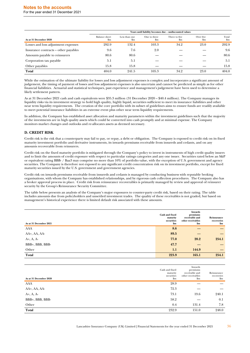For the year ended 31 December 2021

|                                      | Years until liability becomes due - undiscounted values |                                 |                     |                                 |                             |                         |  |
|--------------------------------------|---------------------------------------------------------|---------------------------------|---------------------|---------------------------------|-----------------------------|-------------------------|--|
| As at 31 December 2020               | <b>Balance</b> sheet<br>$_{\rm Sm}$                     | Less than one<br>$\mathbf{S}$ m | One to three<br>\$m | Three to five<br>$\mathbf{S}$ m | Over five<br>$\mathbf{\$m}$ | Total<br>$\mathbf{S}$ m |  |
| Losses and loss adjustment expenses  | 292.9                                                   | 132.4                           | 103.3               | 34.2                            | 23.0                        | 292.9                   |  |
| Insurance contracts - other payables | 9.6                                                     | 7.6                             | 2.0                 |                                 |                             | 9.6                     |  |
| Amounts payable to reinsurers        | 80.6                                                    | 80.6                            |                     |                                 |                             | 80.6                    |  |
| Corporation tax payable              | 5.1                                                     | 5.1                             |                     |                                 |                             | 5.1                     |  |
| Other payables                       | 15.8                                                    | 15.8                            |                     |                                 |                             | 15.8                    |  |
| Total                                | 404.0                                                   | 241.5                           | 105.3               | 34.2                            | 23.0                        | 404.0                   |  |

While the estimation of the ultimate liability for losses and loss adjustment expenses is complex and incorporates a significant amount of judgement, the timing of payment of losses and loss adjustment expenses is also uncertain and cannot be predicted as simply as for other financial liabilities. Actuarial and statistical techniques, past experience and management's judgement have been used to determine a likely settlement pattern.

As at 31 December 2021 cash and cash equivalents were \$35.3 million (31 December 2020 – \$40.4 million). The Company manages its liquidity risks via its investment strategy to hold high quality, highly liquid, securities sufficient to meet its insurance liabilities and other near term liquidity requirements. The creation of the core portfolio with its subset of guidelines aims to ensure funds are readily available to meet potential insurance liabilities in an extreme event plus other near term liquidity requirements.

In addition, the Company has established asset allocation and maturity parameters within the investment guidelines such that the majority of the investments are in high quality assets which could be converted into cash promptly and at minimal expense. The Company monitors market changes and outlooks and re-allocates assets as deemed necessary.

# **D. CREDIT RISK**

Credit risk is the risk that a counterparty may fail to pay, or repay, a debt or obligation. The Company is exposed to credit risk on its fixed maturity investment portfolio and derivative instruments, its inwards premiums receivable from insureds and cedants, and on any amounts recoverable from reinsurers.

Credit risk on the fixed maturity portfolio is mitigated through the Company's policy to invest in instruments of high credit quality issuers and to limit the amounts of credit exposure with respect to particular ratings categories and any one issuer. Securities rated below an S&P or equivalent rating BBB- / Baa3 may comprise no more than 10% of portfolio value, with the exception of U.S. government and agency securities. The Company is therefore not exposed to any significant credit concentration risk on its investment portfolio, except for fixed maturity securities issued by the U.S. government and government agencies.

Credit risk on inwards premiums receivable from insureds and cedants is managed by conducting business with reputable broking organisations, with whom the Company has established relationships, and by rigorous cash collection procedures. The Company also has a broker approval process in place. Credit risk from reinsurance recoverables is primarily managed by review and approval of reinsurer security by the Group's Reinsurance Security Committee.

The table below presents an analysis of the Company's major exposures to counter-party credit risk, based on their rating. The table includes amounts due from policyholders and unsettled investment trades. The quality of these receivables is not graded, but based on management's historical experience there is limited default risk associated with these amounts.

| As at 31 December 2021 | Cash and fixed<br>maturity<br>securities<br>\$m\$ | <b>Inwards</b><br>premiums<br>receivable and<br>other receivables<br>\$m | Reinsurance<br>recoveries<br>\$m\$ |
|------------------------|---------------------------------------------------|--------------------------------------------------------------------------|------------------------------------|
| AAA                    | 8.6                                               |                                                                          |                                    |
| AA+, AA, AA-           | 89.5                                              |                                                                          |                                    |
| $A+$ , $A$ , $A-$      | 77.0                                              | 20.2                                                                     | 254.1                              |
| BBB+, BBB, BBB-        | 47.7                                              |                                                                          |                                    |
| Other                  | 1.1                                               | 144.9                                                                    |                                    |
| Total                  | 223.9                                             | 165.1                                                                    | 254.1                              |

| As at 31 December 2020 | Cash and fixed<br>maturity<br>securities<br>$\mathbf{S}$ m | <b>Inwards</b><br>premiums<br>receivable and<br>other receivables<br>$_{\rm Sm}$ | Reinsurance<br>recoveries<br>\$m |
|------------------------|------------------------------------------------------------|----------------------------------------------------------------------------------|----------------------------------|
| AAA                    | 28.9                                                       |                                                                                  |                                  |
| $AA+$ , $AA$ , $AA-$   | 72.3                                                       |                                                                                  |                                  |
| $A+$ , $A$ , $A-$      | 73.1                                                       | 19.6                                                                             | 240.1                            |
| BBB+, BBB, BBB-        | 58.2                                                       |                                                                                  | 0.1                              |
| Other                  | 0.4                                                        | 131.4                                                                            | 7.8                              |
| Total                  | 232.9                                                      | 151.0                                                                            | 248.0                            |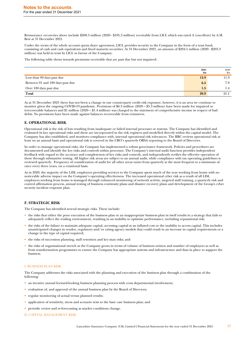Reinsurance recoveries above include \$208.3 million (2020 - \$185.3 million) receivable from LICL which was rated A (excellent) by A.M. Best at 31 December 2021.

Under the terms of the whole account quota share agreement, LICL provides security to the Company in the form of a trust fund, consisting of cash and cash equivalents and fixed maturity securities. At 31 December 2021, an amount of \$204.5 million (2020 - \$203.3 million) was held in trust by LICL in favour of the Company.

The following table shows inwards premiums receivable that are past due but not impaired:

|                                  | 2021<br>\$m | 2020<br>$_{\rm Sm}$ |
|----------------------------------|-------------|---------------------|
| Less than 90 days past due       | 12.9        | 11.9                |
| Between 91 and 180 days past due | 6.5         | 7.8                 |
| Over 180 days past due           | 1.5         | 1.4                 |
| Total                            | 20.9        | 21.1                |

As at 31 December 2021 there has not been a change in our counterparty credit risk exposure, however, it is an area we continue to monitor given the ongoing COVID-19 pandemic. Provisions of \$6.3 million (2020 – \$5.3 million) have been made for impaired or irrecoverable balances and \$1 million (2020 – \$1.4 million) was charged to the statement of comprehensive income in respect of bad debts. No provisions have been made against balances recoverable from reinsurers.

### **E. OPERATIONAL RISK**

Operational risk is the risk of loss resulting from inadequate or failed internal processes or systems. The Company has identified and evaluated its key operational risks and these are incorporated in the risk registers and modelled directly within the capital model. The Company has also established, and monitors compliance with, internal operational risk tolerances. The RRC reviews operational risk at least on an annual basis and operational risk is covered in the CRO's quarterly ORSA reporting to the Board of Directors.

In order to manage operational risks, the Company has implemented a robust governance framework. Policies and procedures are documented and identify the key risks and controls within processes. The Company's internal audit function provides independent feedback with regard to the accuracy and completeness of key risks and controls, and independently verifies the effective operation of these through substantive testing. All higher risk areas are subject to an annual audit, while compliance with tax operating guidelines is reviewed quarterly. Frequency of consideration of audit for all other areas varies from quarterly at the most frequent to a minimum of once every three years, on a rotational basis.

As in 2020, the majority of the LISL employees providing services to the Company spent much of the year working from home with no noticeable adverse impact on the Company's operating effectiveness. The increased operational cyber risk as a result of all LISL employees working from home is managed through enhanced monitoring of network activity, targeted staff training, a quarterly risk and control affirmation process, annual testing of business continuity plans and disaster recovery plans and development of the Group's cyber security incident response plan.

# **F. STRATEGIC RISK**

The Company has identified several strategic risks. These include:

- the risks that either the poor execution of the business plan or an inappropriate business plan in itself results in a strategy that fails to adequately reflect the trading environment, resulting in an inability to optimise performance, including reputational risk;
- the risks of the failure to maintain adequate capital, accessing capital at an inflated cost or the inability to access capital. This includes unanticipated changes in vendor, regulatory and/or rating agency models that could result in an increase in capital requirements or a change in the type of capital required;
- the risks of succession planning, staff retention and key man risks; and
- the risks of organisational stretch as the Company grows in terms of volume of business written and number of employees as well as from transformation programmes to ensure the Company has appropriate systems and infrastructure and data in place to support the business.

### I. BUSINESS PLAN RISK

The Company addresses the risks associated with the planning and execution of the business plan through a combination of the following:

- an iterative annual forward-looking business planning process with cross departmental involvement;
- evaluation of, and approval of the annual business plan by the Board of Directors;
- regular monitoring of actual versus planned results;
- application of sensitivity, stress and scenario tests to the base case business plan; and
- periodic review and re-forecasting as market conditions change.
- II. CAPITAL MANAGEMENT RISK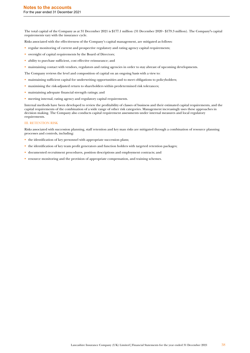The total capital of the Company as at 31 December 2021 is \$177.1 million (31 December 2020 - \$179.3 million). The Company**'**s capital requirements vary with the insurance cycle.

- Risks associated with the effectiveness of the Company's capital management, are mitigated as follows:
- regular monitoring of current and prospective regulatory and rating agency capital requirements;
- oversight of capital requirements by the Board of Directors;
- ability to purchase sufficient, cost effective reinsurance; and
- maintaining contact with vendors, regulators and rating agencies in order to stay abreast of upcoming developments.
- The Company reviews the level and composition of capital on an ongoing basis with a view to:
- maintaining sufficient capital for underwriting opportunities and to meet obligations to policyholders;
- maximising the risk-adjusted return to shareholders within predetermined risk tolerances;
- maintaining adequate financial strength ratings; and
- meeting internal, rating agency and regulatory capital requirements.

Internal methods have been developed to review the profitability of classes of business and their estimated capital requirements, and the capital requirements of the combination of a wide range of other risk categories. Management increasingly uses these approaches in decision making. The Company also conducts capital requirement assessments under internal measures and local regulatory requirements.

### III. RETENTION RISK

Risks associated with succession planning, staff retention and key man risks are mitigated through a combination of resource planning processes and controls, including:

- the identification of key personnel with appropriate succession plans;
- the identification of key team profit generators and function holders with targeted retention packages;
- documented recruitment procedures, position descriptions and employment contracts; and
- resource monitoring and the provision of appropriate compensation, and training schemes.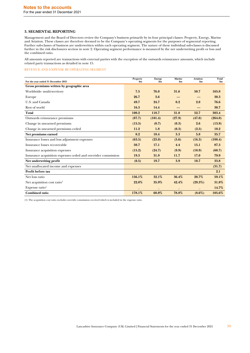# **3. SEGMENTAL REPORTING**

Management and the Board of Directors review the Company's business primarily by its four principal classes: Property, Energy, Marine and Aviation. These classes are therefore deemed to be the Company's operating segments for the purposes of segmental reporting. Further sub-classes of business are underwritten within each operating segment. The nature of these individual sub-classes is discussed further in the risk disclosures section in note 2. Operating segment performance is measured by the net underwriting profit or loss and the combined ratio.

All amounts reported are transactions with external parties with the exception of the outwards reinsurance amounts, which include related party transactions as detailed in note 15.

### REVENUE AND EXPENSE BY OPERATING SEGMENT

| For the year ended 31 December 2021                           | Property<br>$\mathbf{Sm}$ | Energy<br>\$m | <b>Marine</b><br>\$m | <b>Aviation</b><br>\$m\$ | Total<br>\$m\$ |
|---------------------------------------------------------------|---------------------------|---------------|----------------------|--------------------------|----------------|
| Gross premiums written by geographic area                     |                           |               |                      |                          |                |
| Worldwide-multi-territory                                     | 7.5                       | 76.0          | 31.6                 | 50.7                     | 165.8          |
| Europe                                                        | 26.7                      | 3.6           |                      |                          | 30.3           |
| U.S. and Canada                                               | 49.7                      | 24.7          | 0.2                  | 2.0                      | 76.6           |
| Rest of world                                                 | 16.3                      | 14.4          |                      |                          | 30.7           |
| <b>Total</b>                                                  | 100.2                     | 118.7         | 31.8                 | 52.7                     | 303.4          |
| Outwards reinsurance premiums                                 | (87.7)                    | (101.4)       | (27.9)               | (47.0)                   | (264.0)        |
| Change in unearned premiums                                   | (15.5)                    | (0.7)         | (0.3)                | 2.6                      | (13.9)         |
| Change in unearned premiums ceded                             | 11.2                      | 1.8           | (0.3)                | (2.5)                    | 10.2           |
| Net premiums earned                                           | 8.2                       | 18.4          | 3.3                  | 5.8                      | 35.7           |
| Insurance losses and loss adjustment expenses                 | (63.5)                    | (23.0)        | (5.6)                | (16.3)                   | (108.4)        |
| Insurance losses recoverable                                  | 50.7                      | 17.1          | 4.4                  | 15.1                     | 87.3           |
| Insurance acquisition expenses                                | (15.2)                    | (24.7)        | (9.9)                | (10.9)                   | (60.7)         |
| Insurance acquisition expenses ceded and overrider commission | 19.3                      | 31.9          | 11.7                 | 17.0                     | 79.9           |
| Net underwriting profit                                       | (0.5)                     | 19.7          | 3.9                  | 10.7                     | 33.8           |
| Net unallocated income and expenses                           |                           |               |                      |                          | (31.7)         |
| Profit before tax                                             |                           |               |                      |                          | 2.1            |
| Net loss ratio                                                | 156.1%                    | 32.1%         | 36.4%                | 20.7%                    | 59.1%          |
| Net acquisition cost ratio <sup>1</sup>                       | 22.0%                     | 35.9%         | 42.4%                | $(29.3\%)$               | 31.8%          |
| Expense ratio <sup>1</sup>                                    |                           |               |                      |                          | 14.7%          |
| <b>Combined ratio</b>                                         | 178.1%                    | 68.0%         | 78.8%                | $(8.6\%)$                | 105.6%         |

(1) The acquisition cost ratio excludes override commission received which is included in the expense ratio.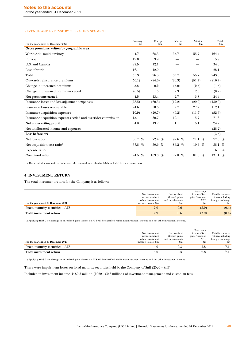# REVENUE AND EXPENSE BY OPERATING SEGMENT

|                                                               | Property  | Energy       | Marine       | Aviation      | Total         |
|---------------------------------------------------------------|-----------|--------------|--------------|---------------|---------------|
| For the year ended 31 December 2020                           | $\rm{Sm}$ | $_{\rm Sm}$  | $_{\rm sm}$  | $\mathbf{Sm}$ | $\mathbf{Sm}$ |
| Gross premiums written by geographic area                     |           |              |              |               |               |
| Worldwide-multi-territory                                     | 4.7       | 68.3         | 35.7         | 55.7          | 164.4         |
| Europe                                                        | 12.0      | 3.9          |              |               | 15.9          |
| U.S. and Canada                                               | 22.5      | 12.1         |              |               | 34.6          |
| Rest of world                                                 | 16.1      | 12.0         |              |               | 28.1          |
| <b>Total</b>                                                  | 55.3      | 96.3         | 35.7         | 55.7          | 243.0         |
| Outwards reinsurance premiums                                 | (50.1)    | (84.6)       | (30.3)       | (51.4)        | (216.4)       |
| Change in unearned premiums                                   | 5.8       | 0.2          | (5.0)        | (2.5)         | (1.5)         |
| Change in unearned premiums ceded                             | (6.5)     | 1.5          | 2.3          | 2.0           | (0.7)         |
| Net premiums earned                                           | 4.5       | 13.4         | 2.7          | 3.8           | 24.4          |
| Insurance losses and loss adjustment expenses                 | (28.5)    | (60.3)       | (12.2)       | (29.9)        | (130.9)       |
| Insurance losses recoverable                                  | 24.6      | 50.6         | 9.7          | 27.2          | 112.1         |
| Insurance acquisition expenses                                | (10.9)    | (20.7)       | (9.2)        | (11.7)        | (52.5)        |
| Insurance acquisition expenses ceded and overrider commission | 15.1      | 30.7         | 10.1         | 15.7          | 71.6          |
| Net underwriting profit                                       | 4.8       | 13.7         | 1.1          | 5.1           | 24.7          |
| Net unallocated income and expenses                           |           |              |              |               | (28.2)        |
| Loss before tax                                               |           |              |              |               | (3.5)         |
| Net loss ratio                                                | 86.7 %    | 72.4 %       | $92.6\%$     | 71.1~%        | 77.0%         |
| Net acquisition cost ratio <sup>1</sup>                       | 37.8 $%$  | $\%$<br>30.6 | $\%$<br>85.2 | 10.5 $%$      | 38.1 $%$      |
| Expense ratio <sup>1</sup>                                    |           |              | -            |               | 16.0 $%$      |
| <b>Combined ratio</b>                                         | 124.5 %   | 103.0 %      | 177.8 %      | 81.6 %        | 131.1 %       |

(1) The acquisition cost ratio excludes override commission received which is included in the expense ratio.

# **4. INVESTMENT RETURN**

The total investment return for the Company is as follows:

|                                     |                     |                 | Net change      |                  |
|-------------------------------------|---------------------|-----------------|-----------------|------------------|
|                                     | Net investment      | Net realised    | in unrealised   | Total investment |
|                                     | income and net      | (losses) gains  | gains/losses on | return excluding |
|                                     | other investment    | and impairments | AFS1            | foreign exchange |
| For the year ended 31 December 2021 | income (losses) \$m | $_{\rm sm}$     | $_{\rm sm}$     | $_{\rm sm}$      |
| Fixed maturity securities – AFS     | 2.9                 | 0.6             | (3.9)           | (0.4)            |
| Total investment return             | 2.9                 | 0.6             | (3.9)           | (0.4)            |

(1) Applying IFRS 9 net change in unrealised gains /losses on AFS will be classified within net investment income and net other investment income.

| For the year ended 31 December 2020 | Net investment<br>income and net<br>other investment<br>income (losses) \$m | Net realised<br>(losses) gains<br>and impairments<br>Sm | Net change<br>in unrealised<br>gains/losses on<br>AFS1<br>$_{\rm sm}$ | Total investment<br>return excluding<br>foreign exchange<br>$_{\rm sm}$ |
|-------------------------------------|-----------------------------------------------------------------------------|---------------------------------------------------------|-----------------------------------------------------------------------|-------------------------------------------------------------------------|
| Fixed maturity securities – AFS     |                                                                             | 0.3                                                     |                                                                       | 7.1                                                                     |
| Total investment return             |                                                                             | 0.3                                                     |                                                                       | 7.1                                                                     |

(1) Applying IFRS 9 net change in unrealised gains /losses on AFS will be classified within net investment income and net other investment income.

There were impairment losses on fixed maturity securities held by the Company of \$nil (2020 – \$nil).

Included in investment income `is \$0.3 million (2020 – \$0.3 million) of investment management and custodian fees.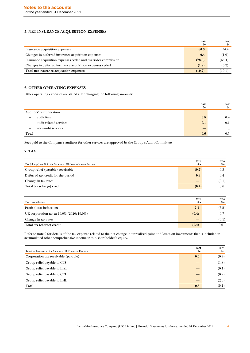# **5. NET INSURANCE ACQUISITION EXPENSES**

|                                                               | 2021<br>Sm | 2020<br>$\rm{Sm}$ |
|---------------------------------------------------------------|------------|-------------------|
| Insurance acquisition expenses                                | 60.3       | 54.4              |
| Changes in deferred insurance acquisition expenses            | 0.4        | (1.9)             |
| Insurance acquisition expenses ceded and overrider commission | (78.0)     | (65.4)            |
| Changes in deferred insurance acquisition expenses ceded      | (1.9)      | (6.2)             |
| Total net insurance acquisition expenses                      | (19.2)     | (19.1)            |

# **6. OTHER OPERATING EXPENSES**

Other operating expenses are stated after charging the following amounts:

|                                 |                        | 2021<br>$\mathbf{Sm}$ | 2020<br>$\mathbf{S}$ m |
|---------------------------------|------------------------|-----------------------|------------------------|
| Auditors' remuneration          |                        |                       |                        |
| audit fees<br>$\qquad \qquad -$ |                        | 0.5                   | 0.4                    |
| $\overline{\phantom{m}}$        | audit related services | 0.1                   | 0.1                    |
| $\overline{\phantom{m}}$        | non-audit services     |                       | –                      |
| Total                           |                        | 0.6                   | 0.5                    |

Fees paid to the Company's auditors for other services are approved by the Group's Audit Committee.

# **7. TAX**

| Tax (charge) credit in the Statement Of Comprehensive Income | 2021<br>\$m | 2020<br>$\mathbf{S}$ m |
|--------------------------------------------------------------|-------------|------------------------|
| Group relief (payable) receivable                            | (0.7)       | 0.3                    |
| Deferred tax credit for the period                           | 0.3         | 0.4                    |
| Change in tax rates                                          |             | (0.1)                  |
| Total tax (charge) credit                                    | (0.4)       | 0.6                    |

| Tax reconciliation                        | 2021<br>\$m\$ | 2020<br>\$m |
|-------------------------------------------|---------------|-------------|
| Profit (loss) before tax                  | 2.1           | (3.5)       |
| UK corporation tax at 19.0% (2020: 19.0%) | (0.4)         | 0.7         |
| Change in tax rates                       |               | (0.1)       |
| Total tax (charge) credit                 | (0.4)         | 0.6         |

Refer to note 9 for details of the tax expense related to the net change in unrealised gains and losses on investments that is included in accumulated other comprehensive income within shareholder's equity.

| Taxation balances in the Statement Of Financial Position | 2021<br>\$m\$ | 2020<br>\$m |
|----------------------------------------------------------|---------------|-------------|
| Corporation tax receivable (payable)                     | 0.6           | (0.4)       |
| Group relief payable to C98                              |               | (1.8)       |
| Group relief payable to LISL                             |               | (0.1)       |
| Group relief payable to CCHL                             |               | (0.2)       |
| Group relief payable to LHL                              |               | (2.6)       |
| Total                                                    | 0.6           | (5.1)       |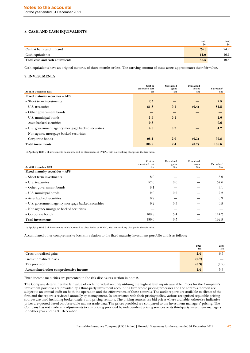# **8. CASH AND CASH EQUIVALENTS**

|                                 | 2021<br>\$m | 2020<br>$_{\rm sm}$ |
|---------------------------------|-------------|---------------------|
| Cash at bank and in hand        | 24.3        | 24.2                |
| Cash equivalents                | 11.0        | 16.2                |
| Total cash and cash equivalents | 35.3        | 40.4                |

Cash equivalents have an original maturity of three months or less. The carrying amount of these assets approximates their fair value.

### **9. INVESTMENTS**

| As at 31 December 2021                              | Cost or<br>amortised cost<br>$\mathbf{Sm}$ | <b>Unrealised</b><br>gains<br>$\mathbf{Sm}$ | <b>Unrealised</b><br>losses<br>$\mathbf{Sm}$ | Fair value <sup>1</sup><br>\$m |
|-----------------------------------------------------|--------------------------------------------|---------------------------------------------|----------------------------------------------|--------------------------------|
| Fixed maturity securities - AFS                     |                                            |                                             |                                              |                                |
| - Short term investments                            | 2.5                                        |                                             |                                              | 2.5                            |
| – U.S. treasuries                                   | 81.8                                       | 0.1                                         | (0.4)                                        | 81.5                           |
| - Other government bonds                            |                                            |                                             |                                              |                                |
| - U.S. municipal bonds                              | 1.9                                        | 0.1                                         |                                              | 2.0                            |
| - Asset backed securities                           | 0.6                                        |                                             |                                              | 0.6                            |
| - U.S. government agency mortgage backed securities | 4.0                                        | 0.2                                         |                                              | 4.2                            |
| - Non-agency mortgage backed securities             |                                            |                                             |                                              |                                |
| – Corporate bonds                                   | 96.1                                       | 2.0                                         | (0.3)                                        | 97.8                           |
| <b>Total investments</b>                            | 186.9                                      | 2.4                                         | (0.7)                                        | 188.6                          |

(1) Applying IFRS 9 all investments held above will be classified as at FVTPL, with no resulting changes in the fair value.

| As at 31 December 2020                              | Cost or<br>amortised cost<br>$_{\rm sm}$ | Unrealised<br>gains<br>$_{\rm Sm}$ | Unrealised<br>losses<br>$_{\rm sm}$ | Fair value <sup>1</sup><br>$\mathbf{S}$ m |
|-----------------------------------------------------|------------------------------------------|------------------------------------|-------------------------------------|-------------------------------------------|
| Fixed maturity securities - AFS                     |                                          |                                    |                                     |                                           |
| - Short term investments                            | 8.0                                      |                                    |                                     | 8.0                                       |
| – U.S. treasuries                                   | 57.0                                     | 0.6                                |                                     | 57.6                                      |
| - Other government bonds                            | 3.1                                      |                                    |                                     | 3.1                                       |
| - U.S. municipal bonds                              | 2.0                                      | 0.2                                |                                     | 2.2                                       |
| - Asset backed securities                           | 0.9                                      |                                    |                                     | 0.9                                       |
| – U.S. government agency mortgage backed securities | 6.2                                      | 0.3                                |                                     | 6.5                                       |
| - Non-agency mortgage backed securities             |                                          |                                    |                                     |                                           |
| – Corporate bonds                                   | 108.8                                    | 5.4                                |                                     | 114.2                                     |
| <b>Total investments</b>                            | 186.0                                    | 6.5                                |                                     | 192.5                                     |

(1) Applying IFRS 9 all investments held above will be classified as at FVTPL, with no resulting changes in the fair value.

Accumulated other comprehensive loss is in relation to the fixed maturity investment portfolio and is as follows:

|                                        | 2021<br>\$m | 2020<br>$\mathbf{Sm}$ |
|----------------------------------------|-------------|-----------------------|
| Gross unrealised gains                 | 2.4         | $6.5^{\circ}$         |
| Gross unrealised losses                | (0.7)       |                       |
| Tax provision                          | (0.3)       | 1.2)                  |
| Accumulated other comprehensive income | 1.4         | 5.3                   |

Fixed income maturities are presented in the risk disclosures section in note 2.

The Company determines the fair value of each individual security utilising the highest level inputs available. Prices for the Company's investment portfolio are provided by a third-party investment accounting firm whose pricing processes and the controls thereon are subject to an annual audit on both the operation and the effectiveness of those controls. The audit reports are available to clients of the firm and the report is reviewed annually by management. In accordance with their pricing policy, various recognised reputable pricing sources are used including broker-dealers and pricing vendors. The pricing sources use bid prices where available, otherwise indicative prices are quoted based on observable market trade data. The prices provided are compared to the investment managers' pricing. The Company has not made any adjustments to any pricing provided by independent pricing services or its third-party investment managers for either year ending 31 December.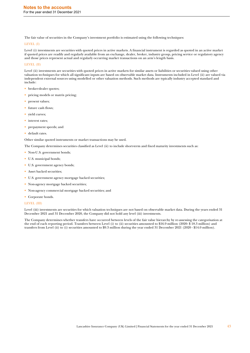The fair value of securities in the Company's investment portfolio is estimated using the following techniques:

### LEVEL (I)

Level (i) investments are securities with quoted prices in active markets. A financial instrument is regarded as quoted in an active market if quoted prices are readily and regularly available from an exchange, dealer, broker, industry group, pricing service or regulatory agency and those prices represent actual and regularly occurring market transactions on an arm's length basis.

### LEVEL (II)

Level (ii) investments are securities with quoted prices in active markets for similar assets or liabilities or securities valued using other valuation techniques for which all significant inputs are based on observable market data. Instruments included in Level (ii) are valued via independent external sources using modelled or other valuation methods. Such methods are typically industry accepted standard and include:

- broker-dealer quotes;
- pricing models or matrix pricing;
- present values:
- future cash flows;
- yield curves;
- interest rates:
- prepayment speeds; and
- default rates.

Other similar quoted instruments or market transactions may be used.

The Company determines securities classified as Level (ii) to include short-term and fixed maturity investments such as:

- Non-U.S. government bonds;
- U.S. municipal bonds;
- U.S. government agency bonds;
- Asset backed securities;
- U.S. government agency mortgage backed securities;
- Non-agency mortgage backed securities;
- Non-agency commercial mortgage backed securities; and
- Corporate bonds.

### LEVEL (III)

Level (iii) investments are securities for which valuation techniques are not based on observable market data. During the years ended 31 December 2021 and 31 December 2020, the Company did not hold any level (iii) investments.

The Company determines whether transfers have occurred between levels of the fair value hierarchy by re-assessing the categorisation at the end of each reporting period. Transfers between Level (i) to (ii) securities amounted to \$16.9 million (2020- \$ 18.3 million) and transfers from Level (ii) to (i) securities amounted to \$9.3 million during the year ended 31 December 2021 (2020 - \$14.0 million).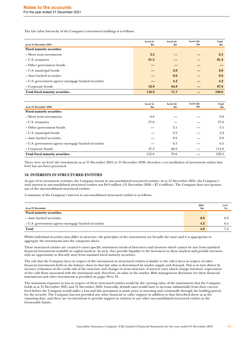The fair value hierarchy of the Company's investment holdings is as follows:

| As at 31 December 2021                              | Level (i)<br>$\mathbf{Sm}$ | Level (ii)<br>$\mathbf{Sm}$ | Level (iii)<br>$\mathbf{Sm}$ | Total<br>$\mathbf{Sm}$ |
|-----------------------------------------------------|----------------------------|-----------------------------|------------------------------|------------------------|
| <b>Fixed maturity securities</b>                    |                            |                             |                              |                        |
| - Short term investments                            | 2.5                        |                             |                              | 2.5                    |
| – U.S. treasuries                                   | 81.5                       |                             |                              | 81.5                   |
| - Other government bonds                            |                            |                             |                              |                        |
| - U.S. municipal bonds                              |                            | 2.0                         |                              | 2.0                    |
| - Asset backed securities                           |                            | 0.6                         |                              | 0.6                    |
| – U.S. government agency mortgage backed securities |                            | 4.2                         |                              | 4.2                    |
| – Corporate bonds                                   | 32.9                       | 64.9                        |                              | 97.8                   |
| <b>Total fixed maturity securities</b>              | 116.9                      | 71.7                        |                              | 188.6                  |

| As at 31 December 2020                              | Level (i)<br>\$m | Level (ii)<br>\$m | Level (iii)<br>$\mathbf{Sm}$ | Total<br>\$m |
|-----------------------------------------------------|------------------|-------------------|------------------------------|--------------|
| <b>Fixed maturity securities</b>                    |                  |                   |                              |              |
| - Short term investments                            | 8.0              |                   |                              | 8.0          |
| – U.S. treasuries                                   | 57.6             |                   |                              | 57.6         |
| - Other government bonds                            |                  | 3.1               |                              | 3.1          |
| - U.S. municipal bonds                              |                  | 2.2               |                              | 2.2          |
| - Asset backed securities                           |                  | 0.9               |                              | 0.9          |
| – U.S. government agency mortgage backed securities |                  | 6.5               |                              | 6.5          |
| - Corporate bonds                                   | 47.3             | 66.9              |                              | 114.2        |
| <b>Total fixed maturity securities</b>              | 112.9            | 79.6              |                              | 192.5        |

There were no level (iii) investments as at 31 December 2021 or 31 December 2020, therefore a reconciliation of movements within that level has not been presented.

### **10. INTERESTS IN STRUCTURED ENTITIES**

As part of its investment activities, the Company invests in unconsolidated structured entities. As at 31 December 2021, the Company's total interest in unconsolidated structured entities was \$4.8 million (31 December 2020 – \$7.4 million). The Company does not sponsor any of the unconsolidated structured entities.

A summary of the Company's interest in unconsolidated structured entities is as follows:

| As at 31 December                                   | 2021<br>\$m | 2020<br>$_{\rm sm}$ |
|-----------------------------------------------------|-------------|---------------------|
| <b>Fixed maturity securities</b>                    |             |                     |
| - Asset backed securities                           | 0.6         | 0.9                 |
| – U.S. government agency mortgage backed securities | 4.2         | 6.5                 |
| Total                                               | 4.8         |                     |

Whilst individual securities may differ in structure, the principles of the instruments are broadly the same and it is appropriate to aggregate the investments into the categories above.

These structured entities are created to meet specific investment needs of borrowers and investors which cannot be met from standard financial instruments available in capital markets. As such, they provide liquidity to the borrowers in these markets and provide investors with an opportunity to diversify away from standard fixed maturity securities.

The risk that the Company faces in respect of the investments in structured entities is similar to the risk it faces in respect of other financial investments held on the balance sheet in that fair value is determined by market supply and demand. This is in turn driven by investor evaluation of the credit risk of the structure and changes in term structure of interest rates which change investors' expectation of the cash flows associated with the instrument and, therefore, its value in the market. Risk management disclosure for these financial instruments and other investments is provided on pages 30 to 33.

The maximum exposure to loss in respect of these structured entities would be the carrying value of the instruments that the Company holds as at 31 December 2021 and 31 December 2020. Generally, default rates would have to increase substantially from their current level before the Company would suffer a loss and this assessment is made prior to investing and continually through the holding period for the security. The Company has not provided any other financial or other support in addition to that described above as at the reporting date, and there are no intentions to provide support in relation to any other unconsolidated structured entities in the foreseeable future.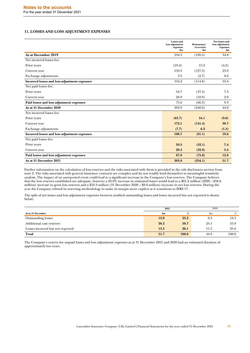### **11. LOSSES AND LOSS ADJUSTMENT EXPENSES**

|                                              | <b>Losses</b> and<br>loss adjustment<br>expenses<br>\$m\$ | Reinsurance<br>recoveries<br>$\mathbf{Sm}$ | Net losses and<br>loss adjustment<br>expenses<br>\$m |
|----------------------------------------------|-----------------------------------------------------------|--------------------------------------------|------------------------------------------------------|
| As at December 2019                          | 234.3                                                     | (199.5)                                    | 34.8                                                 |
| Net incurred losses for:                     |                                                           |                                            |                                                      |
| Prior years                                  | (19.4)                                                    | 15.2                                       | (4.2)                                                |
| Current year                                 | 150.3                                                     | (127.3)                                    | 23.0                                                 |
| <b>Exchange adjustments</b>                  | 3.3                                                       | (2.7)                                      | 0.6                                                  |
| Incurred losses and loss adjustment expenses | 134.2                                                     | (114.8)                                    | 19.4                                                 |
| Net paid losses for:                         |                                                           |                                            |                                                      |
| Prior years                                  | 54.7                                                      | (47.4)                                     | 7.3                                                  |
| Current year                                 | 20.9                                                      | (18.9)                                     | 2.0                                                  |
| Paid losses and loss adjustment expenses     | 75.6                                                      | (66.3)                                     | 9.3                                                  |
| As at 31 December 2020                       | 292.9                                                     | (248.0)                                    | 44.9                                                 |
| Net incurred losses for:                     |                                                           |                                            |                                                      |
| Prior years                                  | (63.7)                                                    | 54.1                                       | (9.6)                                                |
| Current year                                 | 172.1                                                     | (141.4)                                    | 30.7                                                 |
| Exchange adjustments                         | (7.7)                                                     | 6.2                                        | (1.5)                                                |
| Incurred losses and loss adjustment expenses | 100.7                                                     | (81.1)                                     | 19.6                                                 |
| Net paid losses for:                         |                                                           |                                            |                                                      |
| Prior years                                  | 59.5                                                      | (52.1)                                     | 7.4                                                  |
| Current year                                 | 28.3                                                      | (22.9)                                     | 5.4                                                  |
| Paid losses and loss adjustment expenses     | 87.8                                                      | (75.0)                                     | 12.8                                                 |
| As at 31 December 2021                       | 305.8                                                     | (254.1)                                    | 51.7                                                 |

Further information on the calculation of loss reserves and the risks associated with them is provided in the risk disclosures section from note 2. The risks associated with general insurance contracts are complex and do not readily lend themselves to meaningful sensitivity analysis. The impact of an unreported event could lead to a significant increase in the Company's loss reserves. The Company believes that the loss reserves established are adequate, however a 20.0% increase in estimated losses would lead to a \$61.2 million (2020 – \$58.6 million) increase in gross loss reserves and a \$10.3 million (31 December 2020 – \$9.0 million) increase in net loss reserves. During the year the Company refined its reserving methodology to make its margin more explicit as it transitions to IFRS 17.

The split of net losses and loss adjustment expenses between notified outstanding losses and losses incurred but not reported is shown below:

|                                  | 2021          |       | 2020        |       |  |
|----------------------------------|---------------|-------|-------------|-------|--|
| As at 31 December                | $\mathbf{Sm}$ | %     | $_{\rm Sm}$ | %     |  |
| <b>Outstanding losses</b>        | 12.0          | 23.2  | 8.3         | 18.5  |  |
| Additional case reserves         | 26.2          | 50.7  | 25.1        | 55.9  |  |
| Losses incurred but not reported | 13.5          | 26.1  | 11.5        | 25.6  |  |
| Total                            | 51.7          | 100.0 | 44.9        | 100.0 |  |

The Company's reserve for unpaid losses and loss adjustment expenses as at 31 December 2021 and 2020 had an estimated duration of approximately two years.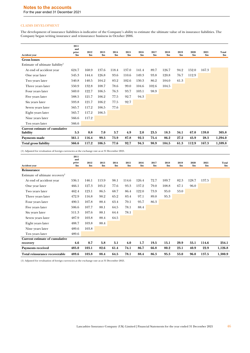# **Notes to the accounts**

For the year ended 31 December 2021

# CLAIMS DEVELOPMENT

The development of insurance liabilities is indicative of the Company's ability to estimate the ultimate value of its insurance liabilities. The Company began writing insurance and reinsurance business in October 2006.

|                                             | 2011<br>and  |             |             |             |               |             |               |                       |               |               |               |                |
|---------------------------------------------|--------------|-------------|-------------|-------------|---------------|-------------|---------------|-----------------------|---------------|---------------|---------------|----------------|
| <b>Accident year</b>                        | prior<br>\$m | 2012<br>\$m | 2013<br>\$m | 2014<br>\$m | 2015<br>\$m\$ | 2016<br>\$m | 2017<br>\$m\$ | 2018<br>$\mathbf{Sm}$ | 2019<br>\$m\$ | 2020<br>\$m\$ | 2021<br>\$m\$ | Total<br>\$m\$ |
| <b>Gross losses</b>                         |              |             |             |             |               |             |               |                       |               |               |               |                |
| Estimate of ultimate liability <sup>1</sup> |              |             |             |             |               |             |               |                       |               |               |               |                |
| At end of accident year                     | 624.7        | 168.9       | 137.6       | 118.4       | 137.0         | 141.4       | 89.7          | 126.7                 | 94.2          | 152.0         | 167.3         |                |
| One year later                              | 545.3        | 144.4       | 126.8       | 93.6        | 110.6         | 149.3       | 93.8          | 120.8                 | 76.7          | 112.9         |               |                |
| Two years later                             | 540.8        | 140.5       | 104.2       | 83.2        | 102.6         | 130.3       | 86.2          | 104.0                 | 61.3          |               |               |                |
| Three years later                           | 550.9        | 132.8       | 108.7       | 78.6        | 99.0          | 104.6       | 102.6         | 104.5                 |               |               |               |                |
| Four years later                            | 569.0        | 122.7       | 106.5       | 76.3        | 93.7          | 103.1       | 98.9          |                       |               |               |               |                |
| Five years later                            | 588.5        | 121.7       | 106.2       | 77.5        | 92.7          | 94.3        |               |                       |               |               |               |                |
| Six years later                             | 593.8        | 121.7       | 106.2       | 77.5        | 92.7          |             |               |                       |               |               |               |                |
| Seven years later                           | 565.7        | 117.2       | 106.5       | 77.6        |               |             |               |                       |               |               |               |                |
| Eight years later                           | 565.7        | 117.2       | 106.5       |             |               |             |               |                       |               |               |               |                |
| Nine years later                            | 566.6        | 117.2       |             |             |               |             |               |                       |               |               |               |                |
| Ten years later                             | 566.6        |             |             |             |               |             |               |                       |               |               |               |                |
| Current estimate of cumulative              |              |             |             |             |               |             |               |                       |               |               |               |                |
| liability                                   | 5.5          | 0.8         | 7.0         | 3.7         | 4.9           | 2.0         | 23.5          | 18.3                  | 34.1          | 67.0          | 139.0         | 305.8          |
| Payments made                               | 561.1        | 116.4       | 99.5        | 73.9        | 87.8          | 92.3        | 75.4          | 86.2                  | 27.2          | 45.9          | 28.3          | 1,294.0        |
| <b>Total gross liability</b>                | 566.6        | 117.2       | 106.5       | 77.6        | 92.7          | 94.3        | 98.9          | 104.5                 | 61.3          | 112.9         | 167.3         | 1,599.8        |

(1) Adjusted for revaluation of foreign currencies at the exchange rate as at 31 December 2021.

|                                            | 2011<br>and    |             |             |               |             |             |               |             |             |               |             |                |
|--------------------------------------------|----------------|-------------|-------------|---------------|-------------|-------------|---------------|-------------|-------------|---------------|-------------|----------------|
| <b>Accident year</b>                       | prior<br>\$m\$ | 2012<br>\$m | 2013<br>\$m | 2014<br>\$m\$ | 2015<br>\$m | 2016<br>\$m | 2017<br>\$m\$ | 2018<br>\$m | 2019<br>\$m | 2020<br>\$m\$ | 2021<br>\$m | Total<br>\$m\$ |
| Reinsurance                                |                |             |             |               |             |             |               |             |             |               |             |                |
| Estimate of ultimate recovery <sup>1</sup> |                |             |             |               |             |             |               |             |             |               |             |                |
| At end of accident year                    | 536.1          | 146.1       | 113.9       | 98.1          | 114.6       | 126.4       | 72.7          | 109.7       | 82.3        | 128.7         | 137.5       |                |
| One year later                             | 466.1          | 127.3       | 105.2       | 77.6          | 93.3        | 137.2       | 79.0          | 108.8       | 67.1        | 96.0          |             |                |
| Two years later                            | 462.4          | 123.1       | 86.5        | 68.7          | 86.4        | 122.0       | 73.9          | 95.0        | 53.0        |               |             |                |
| Three years later                          | 472.9          | 116.8       | 90.2        | 65.2          | 83.4        | 97.1        | 89.0          | 95.3        |             |               |             |                |
| Four years later                           | 490.5          | 107.8       | 88.4        | 63.4          | 79.1        | 95.7        | 86.3          |             |             |               |             |                |
| Five years later                           | 506.6          | 107.7       | 88.1        | 64.5          | 78.1        | 88.4        |               |             |             |               |             |                |
| Six years later                            | 511.3          | 107.6       | 88.1        | 64.4          | 78.1        |             |               |             |             |               |             |                |
| Seven years later                          | 487.9          | 103.8       | 88.4        | 64.5          |             |             |               |             |             |               |             |                |
| Eight years later                          | 488.7          | 103.8       | 88.4        |               |             |             |               |             |             |               |             |                |
| Nine years later                           | 489.6          | 103.8       |             |               |             |             |               |             |             |               |             |                |
| Ten years later                            | 489.6          |             |             |               |             |             |               |             |             |               |             |                |
| Current estimate of cumulative<br>recovery | 4.6            | 0.7         | 5.8         | 3.1           | 4.0         | 1.7         | 19.5          | 15.1        | 29.9        | 55.1          | 114.6       | 254.1          |
| <b>Payments received</b>                   | 485.0          | 103.1       | 82.6        | 61.4          | 74.1        | 86.7        | 66.8          | 80.2        | 23.1        | 40.9          | 22.9        | 1,126.8        |
| Total reinsurance recoverable              | 489.6          | 103.8       | 88.4        | 64.5          | 78.1        | 88.4        | 86.3          | 95.3        | 53.0        | 96.0          | 137.5       | 1,380.9        |

(1) Adjusted for revaluation of foreign currencies at the exchange rate as at 31 December 2021.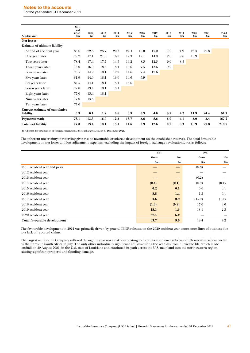# **Notes to the accounts**

For the year ended 31 December 2021

| <b>Accident year</b>                        | 2011<br>and<br>prior<br>\$m | 2012<br>\$m | 2013<br>\$m\$ | 2014<br>\$m | 2015<br>\$m | 2016<br>\$m\$ | 2017<br>\$m | 2018<br>\$m | 2019<br>\$m | 2020<br>\$m | 2021<br>\$m\$ | Total<br>\$m\$ |
|---------------------------------------------|-----------------------------|-------------|---------------|-------------|-------------|---------------|-------------|-------------|-------------|-------------|---------------|----------------|
| <b>Net losses</b>                           |                             |             |               |             |             |               |             |             |             |             |               |                |
| Estimate of ultimate liability <sup>1</sup> |                             |             |               |             |             |               |             |             |             |             |               |                |
| At end of accident year                     | 88.6                        | 22.8        | 23.7          | 20.3        | 22.4        | 15.0          | 17.0        | 17.0        | 11.9        | 23.3        | 29.8          |                |
| One year later                              | 79.2                        | 17.1        | 21.6          | 16.0        | 17.3        | 12.1          | 14.8        | 12.0        | 9.6         | 16.9        |               |                |
| Two years later                             | 78.4                        | 17.4        | 17.7          | 14.5        | 16.2        | 8.3           | 12.3        | 9.0         | 8.3         |             |               |                |
| Three years later                           | 78.0                        | 16.0        | 18.5          | 13.4        | 15.6        | 7.5           | 13.6        | 9.2         |             |             |               |                |
| Four years later                            | 78.5                        | 14.9        | 18.1          | 12.9        | 14.6        | 7.4           | 12.6        |             |             |             |               |                |
| Five years later                            | 81.9                        | 14.0        | 18.1          | 13.0        | 14.6        | 5.9           |             |             |             |             |               |                |
| Six years later                             | 82.5                        | 14.1        | 18.1          | 13.1        | 14.6        |               |             |             |             |             |               |                |
| Seven years later                           | 77.8                        | 13.4        | 18.1          | 13.1        |             |               |             |             |             |             |               |                |
| Eight years later                           | 77.0                        | 13.4        | 18.1          |             |             |               |             |             |             |             |               |                |
| Nine years later                            | 77.0                        | 13.4        |               |             |             |               |             |             |             |             |               |                |
| Ten years later                             | 77.0                        |             |               |             |             |               |             |             |             |             |               |                |
| Current estimate of cumulative              |                             |             |               |             |             |               |             |             |             |             |               |                |
| liability                                   | 0.9                         | 0.1         | 1.2           | 0.6         | 0.9         | 0.3           | 4.0         | 3.2         | 4.2         | 11.9        | 24.4          | 51.7           |
| Payments made                               | 76.1                        | 13.3        | 16.9          | 12.5        | 13.7        | 5.6           | 8.6         | 6.0         | 4.1         | 5.0         | 5.4           | 167.2          |
| <b>Total net liability</b>                  | 77.0                        | 13.4        | 18.1          | 13.1        | 14.6        | 5.9           | 12.6        | 9.2         | 8.3         | 16.9        | 29.8          | 218.9          |

(1) Adjusted for revaluation of foreign currencies at the exchange rate as at 31 December 2021.

The inherent uncertainty in reserving gives rise to favourable or adverse development on the established reserves. The total favourable development on net losses and loss adjustment expenses, excluding the impact of foreign exchange revaluations, was as follows:

|                              | 2021  |               | 2020   |       |
|------------------------------|-------|---------------|--------|-------|
|                              | Gross | Net           | Gross  | Net   |
|                              | \$m   | $\mathbf{Sm}$ | \$m    | \$m   |
| 2011 accident year and prior |       |               | (0.8)  |       |
| 2012 accident year           |       | –             |        |       |
| 2013 accident year           |       |               | (0.2)  |       |
| 2014 accident year           | (0.4) | (0.1)         | (0.9)  | (0.1) |
| 2015 accident year           | 0.2   | 0.1           | 0.6    | 0.1   |
| 2016 accident year           | 8.8   | 1.4           | 1.5    | 0.1   |
| 2017 accident year           | 3.6   | 0.9           | (15.9) | (1.2) |
| 2018 accident year           | (1.0) | (0.2)         | 17.0   | 3.0   |
| 2019 accident year           | 15.1  | 1.3           | 18.1   | 2.3   |
| 2020 accident year           | 37.4  | 6.2           |        |       |
| Total favourable development | 63.7  | 9.6           | 19.4   | 4.2   |

The favourable development in 2021 was primarily driven by general IBNR releases on the 2020 accident year across most lines of business due to a lack of reported claims.

The largest net loss the Company suffered during the year was a risk loss relating to its political violence subclass which was adversely impacted by the unrest in South Africa in July. The only other individually significant net loss during the year was from hurricane Ida, which made landfall on 29 August 2021, in the U.S. state of Louisiana and continued its path across the U.S. mainland into the north-eastern region, causing significant property and flooding damage.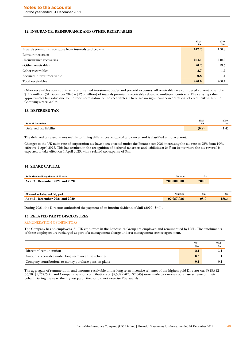### **12. INSURANCE, REINSURANCE AND OTHER RECEIVABLES**

|                                                       | 2021<br>\$m\$ | 2020<br>$\mathbf{S}$ m |
|-------------------------------------------------------|---------------|------------------------|
| Inwards premiums receivable from insureds and cedants | 142.2         | 130.3                  |
| Reinsurance assets                                    |               |                        |
| - Reinsurance recoveries                              | 254.1         | 248.0                  |
| - Other receivables                                   | 20.2          | 19.5                   |
| Other receivables                                     | 2.7           | 1.2                    |
| Accrued interest receivable                           | 0.8           | 1.1                    |
| Total receivables                                     | 420.0         | 400.1                  |

Other receivables consist primarily of unsettled investment trades and prepaid expenses. All receivables are considered current other than \$11.2 million (31 December 2020 – \$12.6 million) of inwards premiums receivable related to multi-year contracts. The carrying value approximates fair value due to the short-term nature of the receivables. There are no significant concentrations of credit risk within the Company's receivables.

### **13. DEFERRED TAX**

| . December                          | 2021          | 2020 |
|-------------------------------------|---------------|------|
| лэ a                                | $\mathbf{Sm}$ | .nm  |
| liability<br>$\mathbf{r}$<br>$+0.1$ | (0.2)         | .    |

The deferred tax asset relates mainly to timing differences on capital allowances and is classified as non-current.

Changes to the UK main rate of corporation tax have been enacted under the Finance Act 2021 increasing the tax rate to 25% from 19%, effective 1 April 2023. This has resulted in the recognition of deferred tax assets and liabilities at 25% on items where the tax reversal is expected to take effect on 1 April 2023, with a related tax expense of \$nil.

# **14. SHARE CAPITAL**

| Authorised ordinary shares of £1 each | Number      | $\pm m$ |  |
|---------------------------------------|-------------|---------|--|
| As at 31 December 2021 and 2020       | 200,000,000 | 200.0   |  |
|                                       |             |         |  |

| , called up and fully paid                   | Number                     | £m   | $_{\rm sm}$ |
|----------------------------------------------|----------------------------|------|-------------|
| Allocated.                                   |                            |      |             |
| 2020<br>2021<br>!1 and<br>December :<br>Asat | .987.956<br>0 <sup>7</sup> | 98.0 | 188.4       |

During 2021, the Directors authorised the payment of an interim dividend of \$nil (2020 - \$nil).

### **15. RELATED PARTY DISCLOSURES**

### REMUNERATION OF DIRECTORS

The Company has no employees. All UK employees in the Lancashire Group are employed and remunerated by LISL. The emoluments of these employees are recharged as part of a management charge under a management service agreement.

|                                                       | 2021<br>\$m | 2020<br>\$m |
|-------------------------------------------------------|-------------|-------------|
| Directors' remuneration                               | 2.1         |             |
| Amounts receivable under long term incentive schemes  | 0.5         |             |
| Company contributions to money purchase pension plans | 0.1         |             |

The aggregate of remuneration and amounts receivable under long term incentive schemes of the highest paid Director was \$848,842 (2020: \$1,257,227), and Company pension contributions of \$5,508 (2020: \$7,045) were made to a money purchase scheme on their behalf. During the year, the highest paid Director did not exercise RSS awards.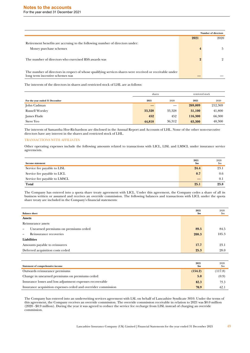|                                                                                                                                             |      | <b>Number of directors</b> |
|---------------------------------------------------------------------------------------------------------------------------------------------|------|----------------------------|
|                                                                                                                                             | 2021 | 2020                       |
| Retirement benefits are accruing to the following number of directors under:                                                                |      |                            |
| Money purchase schemes                                                                                                                      |      | Ð                          |
| The number of directors who exercised RSS awards was                                                                                        |      |                            |
| The number of directors in respect of whose qualifying services shares were received or receivable under<br>long term incentive schemes was |      |                            |

The interests of the directors in shares and restricted stock of LHL are as follows:

|                                | shares |                   |         | restricted stock |  |
|--------------------------------|--------|-------------------|---------|------------------|--|
| For the year ended 31 December | 2021   | 2020              | 2021    | 2020             |  |
| John Cadman                    |        | $\hspace{0.05cm}$ | 269,009 | 212,369          |  |
| <b>Russell Worsley</b>         | 33,328 | 33,328            | 51,100  | 41,800           |  |
| James Flude                    | 452    | 452               | 116,300 | 66,300           |  |
| <b>Steve Yeo</b>               | 44,818 | 36.312            | 63,300  | 48,300           |  |

The interests of Samantha Hoe-Richardson are disclosed in the Annual Report and Accounts of LHL. None of the other non-executive directors have any interest in the shares and restricted stock of LHL.

### TRANSACTIONS WITH AFFILIATES

Other operating expenses include the following amounts related to transactions with LICL, LISL and LMSCL under insurance service agreements.

| Income statement             | 2021<br>$\mathbf{Sm}$ | 2020<br>\$m |
|------------------------------|-----------------------|-------------|
| Service fee payable to LISL  | 24.4                  | 23.1        |
| Service fee payable to LICL  | 0.7                   | 0.6         |
| Service fee payable to LMSCL |                       | 0.1         |
| Total                        | 25.1                  | 23.8        |

The Company has entered into a quota share treaty agreement with LICL. Under this agreement, the Company cedes a share of all its business written or assumed and receives an override commission. The following balances and transactions with LICL under the quota share treaty are included in the Company's financial statements:

| <b>Balance sheet</b>                                     |       | 2020<br>$\mathbf{S}$ m |
|----------------------------------------------------------|-------|------------------------|
| <b>Assets</b>                                            |       |                        |
| Reinsurance assets                                       |       |                        |
| Unearned premiums on premiums ceded<br>$\qquad \qquad -$ | 89.5  | 84.5                   |
| Reinsurance recoveries<br>$\overline{\phantom{0}}$       | 208.3 | 185.3                  |
| Liabilities                                              |       |                        |
| Amounts payable to reinsurers                            | 17.7  | 23.1                   |
| Deferred acquisition costs ceded                         | 25.3  | 28.0                   |

| Statement of comprehensive income                             | 2021<br>$\mathbf{Sm}$ | 2020<br>.\$m |
|---------------------------------------------------------------|-----------------------|--------------|
| Outwards reinsurance premiums                                 | (154.2)               | (117.8)      |
| Change in unearned premiums on premiums ceded                 | 5.0                   | (0.9)        |
| Insurance losses and loss adjustment expenses recoverable     | 82.3                  | 75.3         |
| Insurance acquisition expenses ceded and overrider commission | 70.9                  | 62.1         |

The Company has entered into an underwriting services agreement with LSL on behalf of Lancashire Syndicate 3010. Under the terms of this agreement, the Company receives an override commission. The override commission receivable in relation to 2021 was \$0.0 million (2020 - \$0.9 million). During the year it was agreed to reduce the service fee recharge from LISL instead of charging an override commission.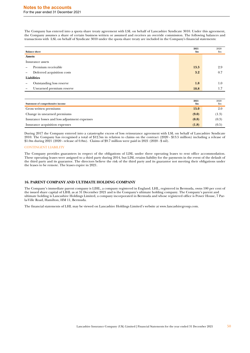The Company has entered into a quota share treaty agreement with LSL on behalf of Lancashire Syndicate 3010. Under this agreement, the Company assumes a share of certain business written or assumed and receives an override commission. The following balances and transactions with LSL on behalf of Syndicate 3010 under the quota share treaty are included in the Company's financial statements:

| <b>Balance sheet</b>     |                            | 2021<br>\$m | 2020<br>$\mathbf{S}$ m |
|--------------------------|----------------------------|-------------|------------------------|
| <b>Assets</b>            |                            |             |                        |
|                          | Insurance assets           |             |                        |
|                          | Premium receivable         | 13.3        | 2.9                    |
|                          | Deferred acquisition costs | 3.2         | 0.7                    |
|                          | Liabilities                |             |                        |
| $\overline{\phantom{m}}$ | Outstanding loss reserve   | 1.8         | 1.0                    |
|                          | Unearned premium reserve   | 10.8        | 1.7                    |

| Statement of comprehensive income             | 2021<br>\$m | 2020<br>\$m |
|-----------------------------------------------|-------------|-------------|
| Gross written premiums                        | 15.0        | 2.0         |
| Change in unearned premiums                   | (9.0)       | (1.3)       |
| Insurance losses and loss adjustment expenses | (0.8)       | (0.3)       |
| Insurance acquisition expenses                | (1.8)       | (0.5)       |

During 2017 the Company entered into a catastrophe excess of loss reinsurance agreement with LSL on behalf of Lancashire Syndicate 2010. The Company has recognised a total of \$12.5m in relation to claims on the contract (2020 - \$13.5 million) including a release of \$1.0m during 2021 (2020 - release of 0.8m). Claims of \$9.7 million were paid in 2021 (2020 - \$ nil).

### CONTINGENT LIABILITY

The Company provides guarantees in respect of the obligations of LISL under three operating leases to rent office accommodation. These operating leases were assigned to a third party during 2014, but LISL retains liability for the payments in the event of the default of the third party and its guarantor. The directors believe the risk of the third party and its guarantor not meeting their obligations under the leases to be remote. The leases expire in 2021.

### **16. PARENT COMPANY AND ULTIMATE HOLDING COMPANY**

The Company's immediate parent company is LIHL, a company registered in England. LHL, registered in Bermuda, owns 100 per cent of the issued share capital of LIHL as at 31 December 2021 and is the Company's ultimate holding company. The Company's parent and ultimate holding is Lancashire Holdings Limited, a company incorporated in Bermuda and whose registered office is Power House, 7 Parla-Ville Road, Hamilton, HM 11, Bermuda.

The financial statements of LHL may be viewed on Lancashire Holdings Limited's website at www.lancashiregroup.com.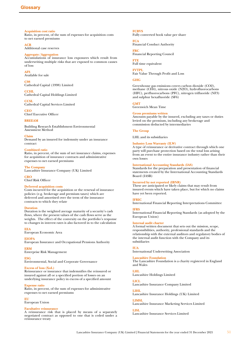<span id="page-50-0"></span>**Acquisition cost ratio** Ratio, in percent, of the sum of expenses for acquisition costs to net earned premiums

### **ACR**

Additional case reserves

### **Aggregate/Aggregation**

Accumulations of insurance loss exposures which result from underwriting multiple risks that are exposed to common causes of loss

**AFS**

Available for sale

**C98**

Cathedral Capital (1998) Limited

**CCHL** Cathedral Capital Holdings Limited

**CCSL** Cathedral Capital Services Limited

**CEO** Chief Executive Officer

### **BREEAM**

Building Research Establishment Environmental Assessment Method

### **Claim**

Demand by an insured for indemnity under an insurance contract

### **Combined ratio**

Ratio, in percent, of the sum of net insurance claims, expenses for acquisition of insurance contracts and administrative expenses to net earned premiums

### **The Company**

Lancashire Insurance Company (UK) Limited

**CRO** Chief Risk Officer

# **Deferred acquisition costs**

Costs incurred for the acquisition or the renewal of insurance policies (e.g. brokerage and premium taxes) which are deferred and amortised over the term of the insurance contracts to which they relate

### **Duration**

Duration is the weighted average maturity of a security's cash flows, where the present values of the cash flows serve as the weights. The effect of the convexity on the portfolio's response to changes in interest rates is also factored in to the calculation

**EEA**

European Economic Area

### **EIOPA**

European Insurance and Occupational Pensions Authority

### **ERM**

Enterprise Risk Management

**ESG**

Environmental, Social and Corporate Governance

### **Excess of loss (XoL)**

Reinsurance or insurance that indemnifies the reinsured or insured against all or a specified portion of losses on an underlying insurance policy in excess of a specified amount

### **Expense ratio**

Ratio, in percent, of the sum of expenses for administrative expenses to net earned premiums

### **EU**

European Union

### **Facultative reinsurance**

A reinsurance risk that is placed by means of a separately negotiated contract as opposed to one that is ceded under a reinsurance treaty

# **FCBVS**

Fully converted book value per share

### **FCA** Financial Conduct Authority

**FRC**

Financial Reporting Council

**FTE** Full time equivalent

### **FVTPL**

Fair Value Through Profit and Loss

### **GHG**

Greenhouse gas emissions covers carbon dioxide (CO2), methane (CH4), nitrous oxide (N2O), hydrofluorocarbons (HFC), perfluorocarbons (PFC), nitrogen trifluoride (NF3) and sulphur hexafluoride (SF6)

# **GMT**

Greenwich Mean Time

**Gross premiums written** Amounts payable by the insured, excluding any taxes or duties levied on the premium, including any brokerage and commission deducted by intermediaries

### **The Group**

LHL and its subsidiaries

### **Industry Loss Warranty (ILW)**

A type of reinsurance or derivative contract through which one party will purchase protection based on the total loss arising from an event to the entire insurance industry rather than their own losses

### **International Accounting Standards (IAS)**

Standards for the preparation and presentation of financial statements created by the International Accounting Standards Board (IASB)

### **Incurred by not reported (IBNR)**

These are anticipated or likely claims that may result from insured events which have taken place, but for which no claims have yet been reported.

### **IFRIC**

International Financial Reporting Interpretations Committee

#### **IFRS**

International Financial Reporting Standards (as adopted by the European Union)

### **Internal audit charter**

A formal written document that sets out the mission, scope, responsibilities, authority, professional standards and the relationship with the external auditors and regulatory bodies of the internal audit function with the Company and its subsidiaries

### **IUA**

International Underwriting Association

### **Lancashire Foundation**

The Lancashire Foundation is a charity registered in England and Wales

# **LHL**

Lancashire Holdings Limited

### **LICL**

Lancashire Insurance Company Limited

# **LIHL**

Lancashire Insurance Holdings (UK) Limited

# **LIMSL**

Lancashire Insurance Marketing Services Limited **LISL**

# Lancashire Insurance Services Limited